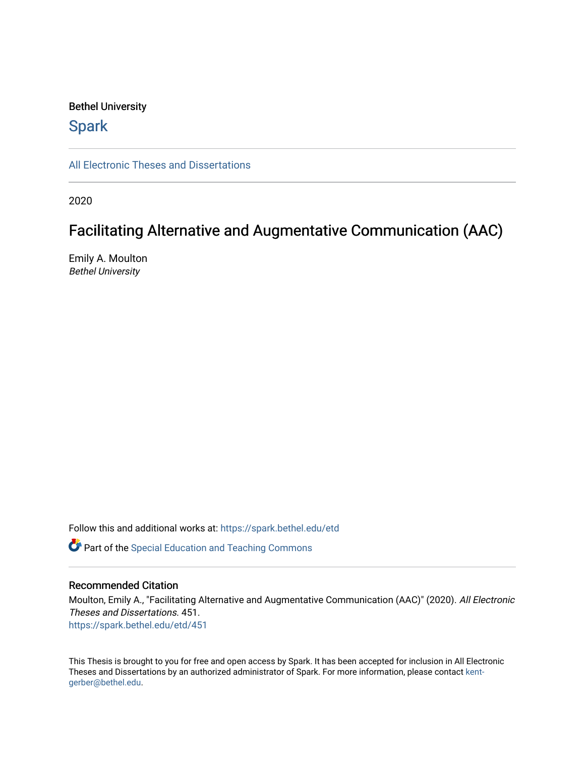### Bethel University

# **Spark**

[All Electronic Theses and Dissertations](https://spark.bethel.edu/etd) 

2020

# Facilitating Alternative and Augmentative Communication (AAC)

Emily A. Moulton Bethel University

Follow this and additional works at: [https://spark.bethel.edu/etd](https://spark.bethel.edu/etd?utm_source=spark.bethel.edu%2Fetd%2F451&utm_medium=PDF&utm_campaign=PDFCoverPages)

**C** Part of the Special Education and Teaching Commons

### Recommended Citation

Moulton, Emily A., "Facilitating Alternative and Augmentative Communication (AAC)" (2020). All Electronic Theses and Dissertations. 451. [https://spark.bethel.edu/etd/451](https://spark.bethel.edu/etd/451?utm_source=spark.bethel.edu%2Fetd%2F451&utm_medium=PDF&utm_campaign=PDFCoverPages)

This Thesis is brought to you for free and open access by Spark. It has been accepted for inclusion in All Electronic Theses and Dissertations by an authorized administrator of Spark. For more information, please contact [kent](mailto:kent-gerber@bethel.edu)[gerber@bethel.edu.](mailto:kent-gerber@bethel.edu)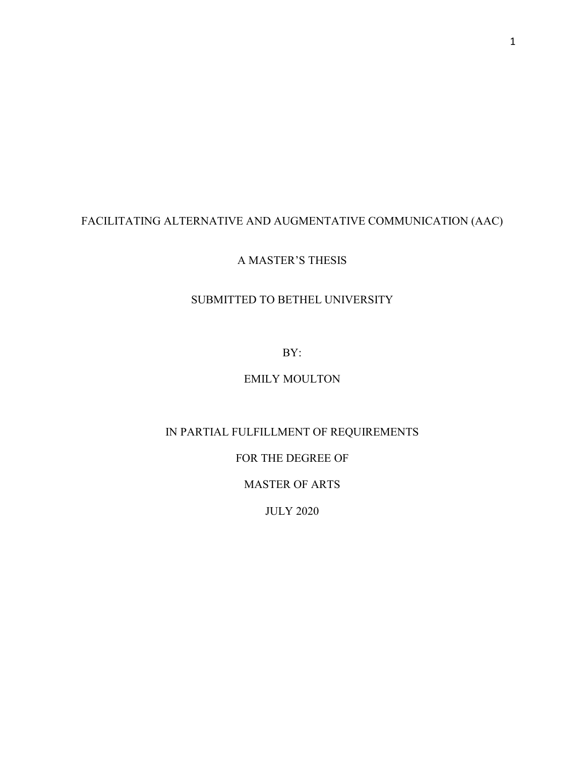# FACILITATING ALTERNATIVE AND AUGMENTATIVE COMMUNICATION (AAC)

## A MASTER'S THESIS

## SUBMITTED TO BETHEL UNIVERSITY

BY:

# EMILY MOULTON

## IN PARTIAL FULFILLMENT OF REQUIREMENTS

## FOR THE DEGREE OF

## MASTER OF ARTS

JULY 2020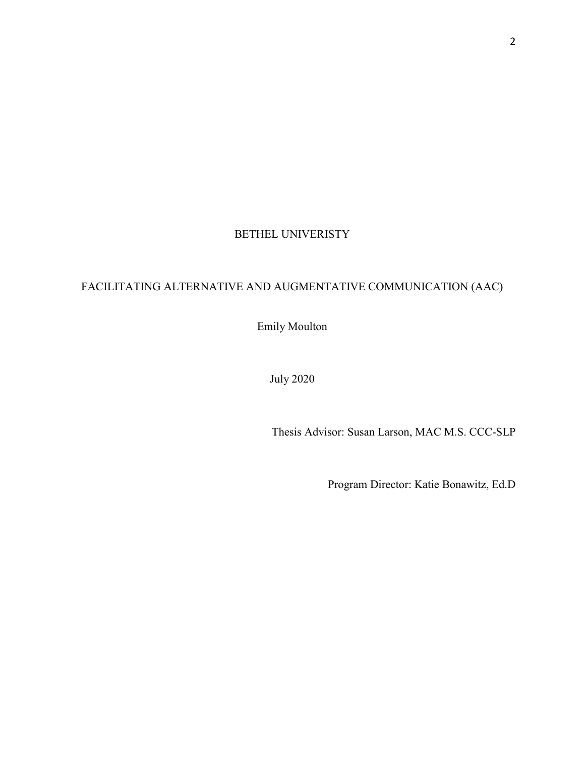# BETHEL UNIVERISTY

# FACILITATING ALTERNATIVE AND AUGMENTATIVE COMMUNICATION (AAC)

Emily Moulton

July 2020

Thesis Advisor: Susan Larson, MAC M.S. CCC-SLP

Program Director: Katie Bonawitz, Ed.D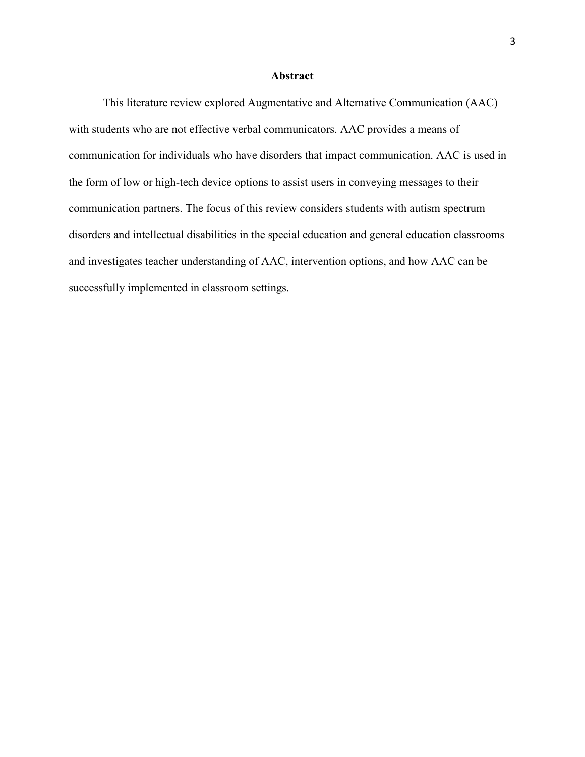### **Abstract**

<span id="page-3-0"></span> This literature review explored Augmentative and Alternative Communication (AAC) with students who are not effective verbal communicators. AAC provides a means of communication for individuals who have disorders that impact communication. AAC is used in the form of low or high-tech device options to assist users in conveying messages to their communication partners. The focus of this review considers students with autism spectrum disorders and intellectual disabilities in the special education and general education classrooms and investigates teacher understanding of AAC, intervention options, and how AAC can be successfully implemented in classroom settings.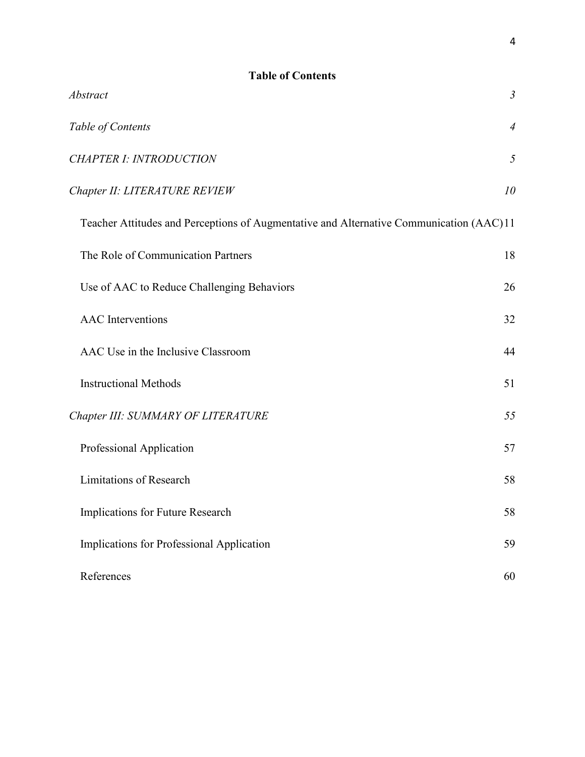<span id="page-4-0"></span>

| <b>Table of Contents</b>                                                                |                |
|-----------------------------------------------------------------------------------------|----------------|
| Abstract                                                                                | $\mathfrak{Z}$ |
| Table of Contents                                                                       | $\overline{4}$ |
| <b>CHAPTER I: INTRODUCTION</b>                                                          | 5              |
| Chapter II: LITERATURE REVIEW                                                           | 10             |
| Teacher Attitudes and Perceptions of Augmentative and Alternative Communication (AAC)11 |                |
| The Role of Communication Partners                                                      | 18             |
| Use of AAC to Reduce Challenging Behaviors                                              | 26             |
| <b>AAC</b> Interventions                                                                | 32             |
| AAC Use in the Inclusive Classroom                                                      | 44             |
| <b>Instructional Methods</b>                                                            | 51             |
| Chapter III: SUMMARY OF LITERATURE                                                      | 55             |
| Professional Application                                                                | 57             |
| <b>Limitations of Research</b>                                                          | 58             |
| Implications for Future Research                                                        | 58             |
| Implications for Professional Application                                               | 59             |
| References                                                                              | 60             |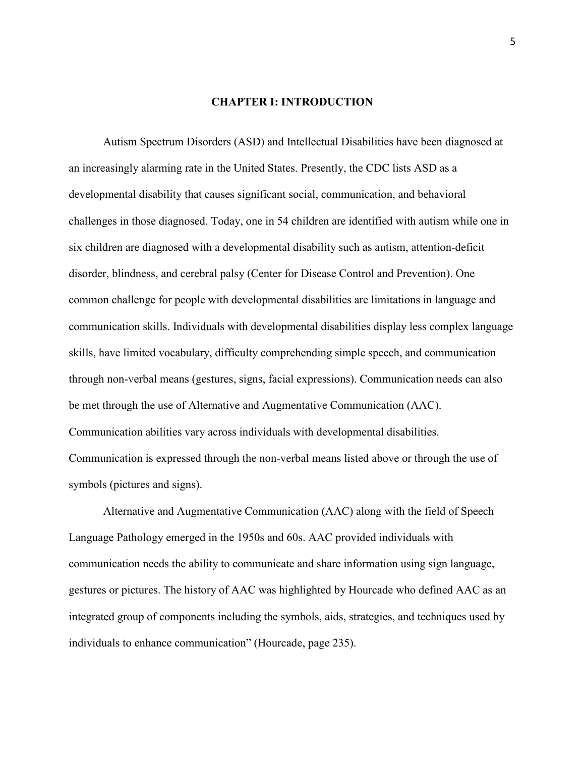### **CHAPTER I: INTRODUCTION**

<span id="page-5-0"></span>Autism Spectrum Disorders (ASD) and Intellectual Disabilities have been diagnosed at an increasingly alarming rate in the United States. Presently, the CDC lists ASD as a developmental disability that causes significant social, communication, and behavioral challenges in those diagnosed. Today, one in 54 children are identified with autism while one in six children are diagnosed with a developmental disability such as autism, attention-deficit disorder, blindness, and cerebral palsy (Center for Disease Control and Prevention). One common challenge for people with developmental disabilities are limitations in language and communication skills. Individuals with developmental disabilities display less complex language skills, have limited vocabulary, difficulty comprehending simple speech, and communication through non-verbal means (gestures, signs, facial expressions). Communication needs can also be met through the use of Alternative and Augmentative Communication (AAC). Communication abilities vary across individuals with developmental disabilities. Communication is expressed through the non-verbal means listed above or through the use of symbols (pictures and signs).

Alternative and Augmentative Communication (AAC) along with the field of Speech Language Pathology emerged in the 1950s and 60s. AAC provided individuals with communication needs the ability to communicate and share information using sign language, gestures or pictures. The history of AAC was highlighted by Hourcade who defined AAC as an integrated group of components including the symbols, aids, strategies, and techniques used by individuals to enhance communication" (Hourcade, page 235).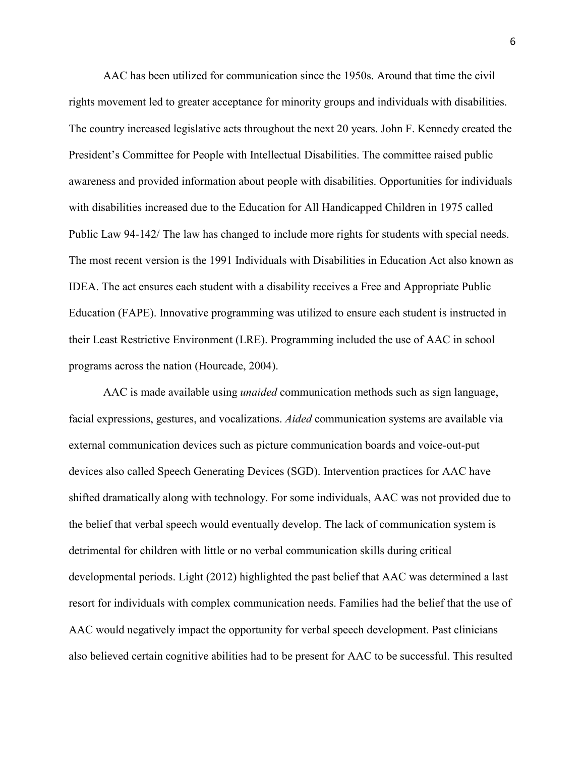AAC has been utilized for communication since the 1950s. Around that time the civil rights movement led to greater acceptance for minority groups and individuals with disabilities. The country increased legislative acts throughout the next 20 years. John F. Kennedy created the President's Committee for People with Intellectual Disabilities. The committee raised public awareness and provided information about people with disabilities. Opportunities for individuals with disabilities increased due to the Education for All Handicapped Children in 1975 called Public Law 94-142/ The law has changed to include more rights for students with special needs. The most recent version is the 1991 Individuals with Disabilities in Education Act also known as IDEA. The act ensures each student with a disability receives a Free and Appropriate Public Education (FAPE). Innovative programming was utilized to ensure each student is instructed in their Least Restrictive Environment (LRE). Programming included the use of AAC in school programs across the nation (Hourcade, 2004).

AAC is made available using *unaided* communication methods such as sign language, facial expressions, gestures, and vocalizations. *Aided* communication systems are available via external communication devices such as picture communication boards and voice-out-put devices also called Speech Generating Devices (SGD). Intervention practices for AAC have shifted dramatically along with technology. For some individuals, AAC was not provided due to the belief that verbal speech would eventually develop. The lack of communication system is detrimental for children with little or no verbal communication skills during critical developmental periods. Light (2012) highlighted the past belief that AAC was determined a last resort for individuals with complex communication needs. Families had the belief that the use of AAC would negatively impact the opportunity for verbal speech development. Past clinicians also believed certain cognitive abilities had to be present for AAC to be successful. This resulted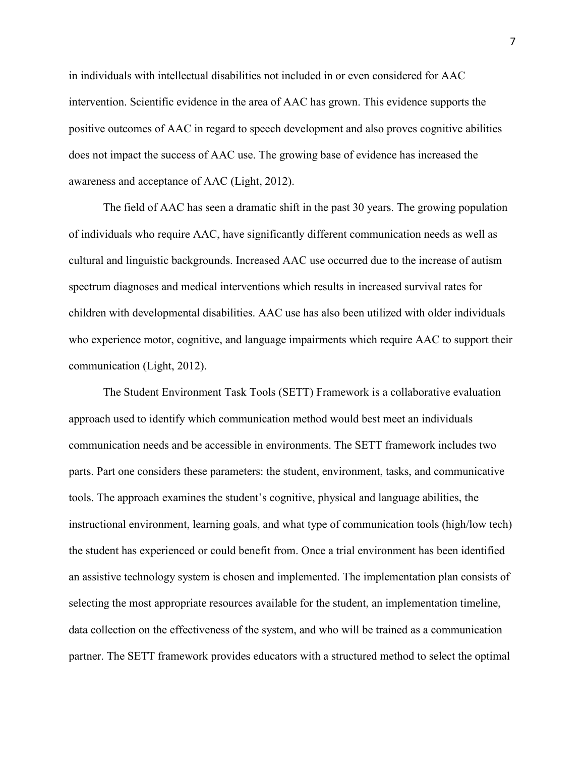in individuals with intellectual disabilities not included in or even considered for AAC intervention. Scientific evidence in the area of AAC has grown. This evidence supports the positive outcomes of AAC in regard to speech development and also proves cognitive abilities does not impact the success of AAC use. The growing base of evidence has increased the awareness and acceptance of AAC (Light, 2012).

The field of AAC has seen a dramatic shift in the past 30 years. The growing population of individuals who require AAC, have significantly different communication needs as well as cultural and linguistic backgrounds. Increased AAC use occurred due to the increase of autism spectrum diagnoses and medical interventions which results in increased survival rates for children with developmental disabilities. AAC use has also been utilized with older individuals who experience motor, cognitive, and language impairments which require AAC to support their communication (Light, 2012).

The Student Environment Task Tools (SETT) Framework is a collaborative evaluation approach used to identify which communication method would best meet an individuals communication needs and be accessible in environments. The SETT framework includes two parts. Part one considers these parameters: the student, environment, tasks, and communicative tools. The approach examines the student's cognitive, physical and language abilities, the instructional environment, learning goals, and what type of communication tools (high/low tech) the student has experienced or could benefit from. Once a trial environment has been identified an assistive technology system is chosen and implemented. The implementation plan consists of selecting the most appropriate resources available for the student, an implementation timeline, data collection on the effectiveness of the system, and who will be trained as a communication partner. The SETT framework provides educators with a structured method to select the optimal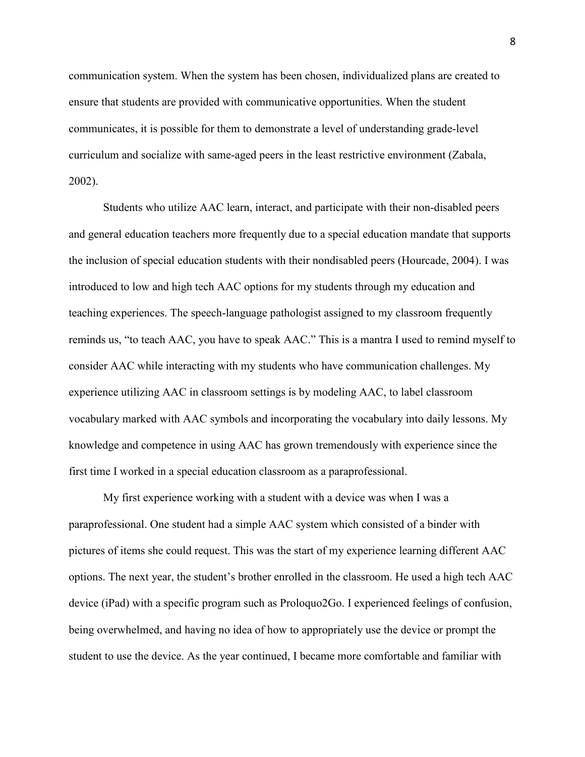communication system. When the system has been chosen, individualized plans are created to ensure that students are provided with communicative opportunities. When the student communicates, it is possible for them to demonstrate a level of understanding grade-level curriculum and socialize with same-aged peers in the least restrictive environment (Zabala, 2002).

 Students who utilize AAC learn, interact, and participate with their non-disabled peers and general education teachers more frequently due to a special education mandate that supports the inclusion of special education students with their nondisabled peers (Hourcade, 2004). I was introduced to low and high tech AAC options for my students through my education and teaching experiences. The speech-language pathologist assigned to my classroom frequently reminds us, "to teach AAC, you have to speak AAC." This is a mantra I used to remind myself to consider AAC while interacting with my students who have communication challenges. My experience utilizing AAC in classroom settings is by modeling AAC, to label classroom vocabulary marked with AAC symbols and incorporating the vocabulary into daily lessons. My knowledge and competence in using AAC has grown tremendously with experience since the first time I worked in a special education classroom as a paraprofessional.

My first experience working with a student with a device was when I was a paraprofessional. One student had a simple AAC system which consisted of a binder with pictures of items she could request. This was the start of my experience learning different AAC options. The next year, the student's brother enrolled in the classroom. He used a high tech AAC device (iPad) with a specific program such as Proloquo2Go. I experienced feelings of confusion, being overwhelmed, and having no idea of how to appropriately use the device or prompt the student to use the device. As the year continued, I became more comfortable and familiar with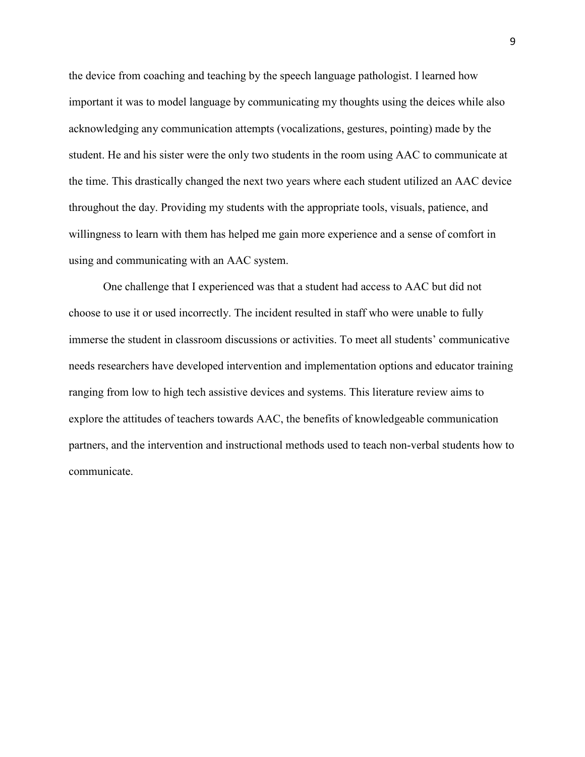the device from coaching and teaching by the speech language pathologist. I learned how important it was to model language by communicating my thoughts using the deices while also acknowledging any communication attempts (vocalizations, gestures, pointing) made by the student. He and his sister were the only two students in the room using AAC to communicate at the time. This drastically changed the next two years where each student utilized an AAC device throughout the day. Providing my students with the appropriate tools, visuals, patience, and willingness to learn with them has helped me gain more experience and a sense of comfort in using and communicating with an AAC system.

One challenge that I experienced was that a student had access to AAC but did not choose to use it or used incorrectly. The incident resulted in staff who were unable to fully immerse the student in classroom discussions or activities. To meet all students' communicative needs researchers have developed intervention and implementation options and educator training ranging from low to high tech assistive devices and systems. This literature review aims to explore the attitudes of teachers towards AAC, the benefits of knowledgeable communication partners, and the intervention and instructional methods used to teach non-verbal students how to communicate.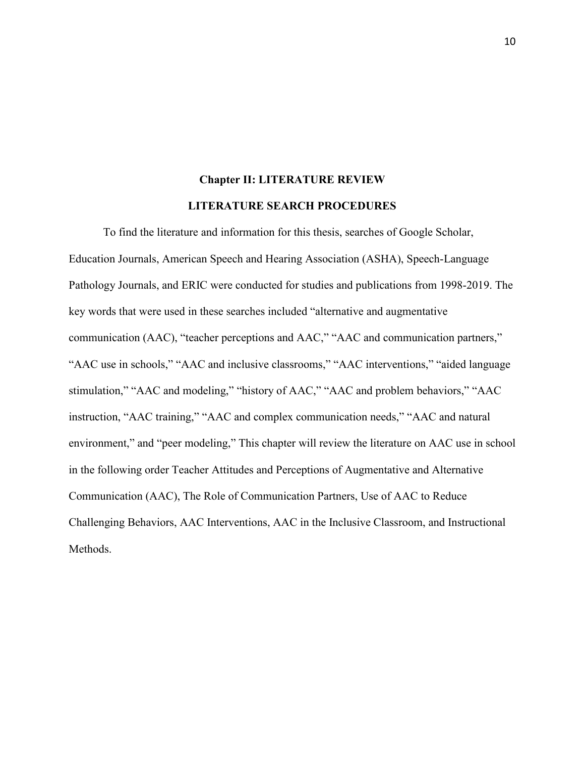# **Chapter II: LITERATURE REVIEW LITERATURE SEARCH PROCEDURES**

<span id="page-10-0"></span> To find the literature and information for this thesis, searches of Google Scholar, Education Journals, American Speech and Hearing Association (ASHA), Speech-Language Pathology Journals, and ERIC were conducted for studies and publications from 1998-2019. The key words that were used in these searches included "alternative and augmentative communication (AAC), "teacher perceptions and AAC," "AAC and communication partners," "AAC use in schools," "AAC and inclusive classrooms," "AAC interventions," "aided language stimulation," "AAC and modeling," "history of AAC," "AAC and problem behaviors," "AAC instruction, "AAC training," "AAC and complex communication needs," "AAC and natural environment," and "peer modeling," This chapter will review the literature on AAC use in school in the following order Teacher Attitudes and Perceptions of Augmentative and Alternative Communication (AAC), The Role of Communication Partners, Use of AAC to Reduce Challenging Behaviors, AAC Interventions, AAC in the Inclusive Classroom, and Instructional Methods.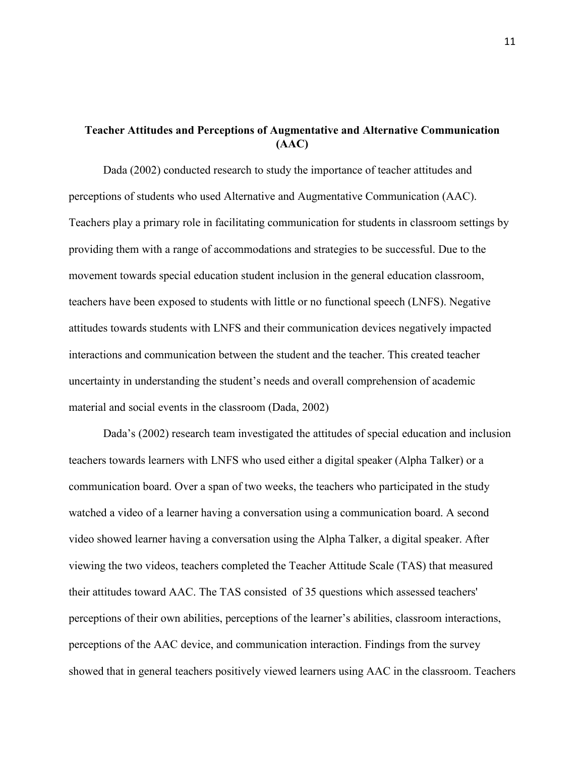### <span id="page-11-0"></span>**Teacher Attitudes and Perceptions of Augmentative and Alternative Communication (AAC)**

Dada (2002) conducted research to study the importance of teacher attitudes and perceptions of students who used Alternative and Augmentative Communication (AAC). Teachers play a primary role in facilitating communication for students in classroom settings by providing them with a range of accommodations and strategies to be successful. Due to the movement towards special education student inclusion in the general education classroom, teachers have been exposed to students with little or no functional speech (LNFS). Negative attitudes towards students with LNFS and their communication devices negatively impacted interactions and communication between the student and the teacher. This created teacher uncertainty in understanding the student's needs and overall comprehension of academic material and social events in the classroom (Dada, 2002)

Dada's (2002) research team investigated the attitudes of special education and inclusion teachers towards learners with LNFS who used either a digital speaker (Alpha Talker) or a communication board. Over a span of two weeks, the teachers who participated in the study watched a video of a learner having a conversation using a communication board. A second video showed learner having a conversation using the Alpha Talker, a digital speaker. After viewing the two videos, teachers completed the Teacher Attitude Scale (TAS) that measured their attitudes toward AAC. The TAS consisted of 35 questions which assessed teachers' perceptions of their own abilities, perceptions of the learner's abilities, classroom interactions, perceptions of the AAC device, and communication interaction. Findings from the survey showed that in general teachers positively viewed learners using AAC in the classroom. Teachers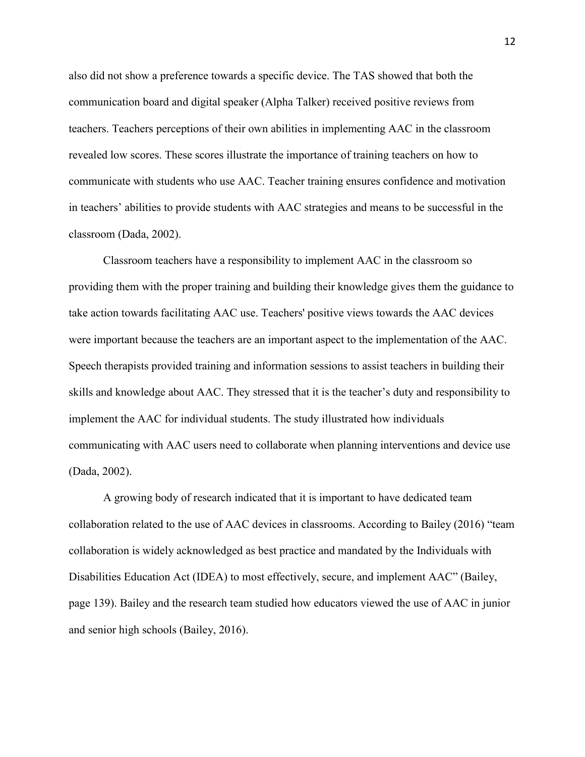also did not show a preference towards a specific device. The TAS showed that both the communication board and digital speaker (Alpha Talker) received positive reviews from teachers. Teachers perceptions of their own abilities in implementing AAC in the classroom revealed low scores. These scores illustrate the importance of training teachers on how to communicate with students who use AAC. Teacher training ensures confidence and motivation in teachers' abilities to provide students with AAC strategies and means to be successful in the classroom (Dada, 2002).

Classroom teachers have a responsibility to implement AAC in the classroom so providing them with the proper training and building their knowledge gives them the guidance to take action towards facilitating AAC use. Teachers' positive views towards the AAC devices were important because the teachers are an important aspect to the implementation of the AAC. Speech therapists provided training and information sessions to assist teachers in building their skills and knowledge about AAC. They stressed that it is the teacher's duty and responsibility to implement the AAC for individual students. The study illustrated how individuals communicating with AAC users need to collaborate when planning interventions and device use (Dada, 2002).

A growing body of research indicated that it is important to have dedicated team collaboration related to the use of AAC devices in classrooms. According to Bailey (2016) "team collaboration is widely acknowledged as best practice and mandated by the Individuals with Disabilities Education Act (IDEA) to most effectively, secure, and implement AAC" (Bailey, page 139). Bailey and the research team studied how educators viewed the use of AAC in junior and senior high schools (Bailey, 2016).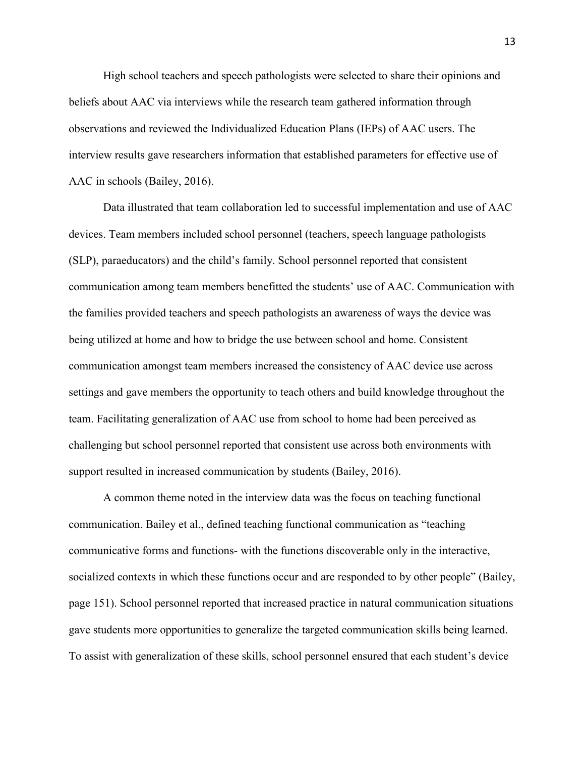High school teachers and speech pathologists were selected to share their opinions and beliefs about AAC via interviews while the research team gathered information through observations and reviewed the Individualized Education Plans (IEPs) of AAC users. The interview results gave researchers information that established parameters for effective use of AAC in schools (Bailey, 2016).

Data illustrated that team collaboration led to successful implementation and use of AAC devices. Team members included school personnel (teachers, speech language pathologists (SLP), paraeducators) and the child's family. School personnel reported that consistent communication among team members benefitted the students' use of AAC. Communication with the families provided teachers and speech pathologists an awareness of ways the device was being utilized at home and how to bridge the use between school and home. Consistent communication amongst team members increased the consistency of AAC device use across settings and gave members the opportunity to teach others and build knowledge throughout the team. Facilitating generalization of AAC use from school to home had been perceived as challenging but school personnel reported that consistent use across both environments with support resulted in increased communication by students (Bailey, 2016).

A common theme noted in the interview data was the focus on teaching functional communication. Bailey et al., defined teaching functional communication as "teaching communicative forms and functions- with the functions discoverable only in the interactive, socialized contexts in which these functions occur and are responded to by other people" (Bailey, page 151). School personnel reported that increased practice in natural communication situations gave students more opportunities to generalize the targeted communication skills being learned. To assist with generalization of these skills, school personnel ensured that each student's device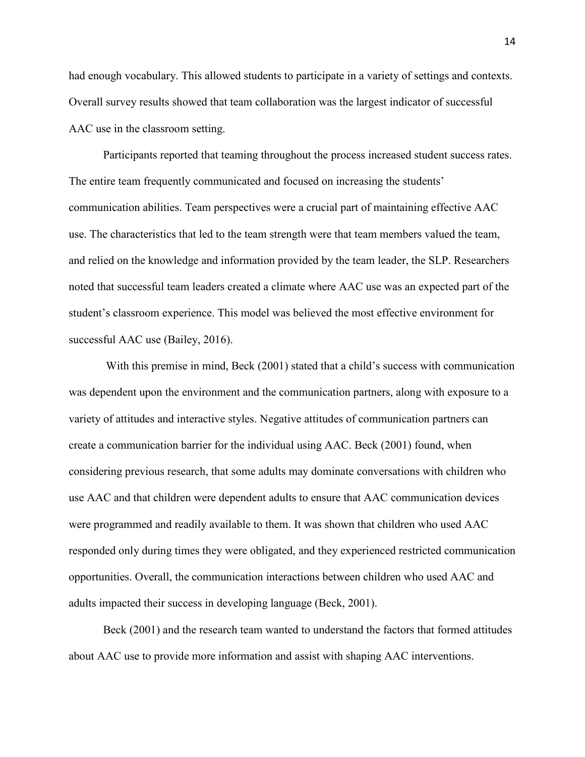had enough vocabulary. This allowed students to participate in a variety of settings and contexts. Overall survey results showed that team collaboration was the largest indicator of successful AAC use in the classroom setting.

Participants reported that teaming throughout the process increased student success rates. The entire team frequently communicated and focused on increasing the students' communication abilities. Team perspectives were a crucial part of maintaining effective AAC use. The characteristics that led to the team strength were that team members valued the team, and relied on the knowledge and information provided by the team leader, the SLP. Researchers noted that successful team leaders created a climate where AAC use was an expected part of the student's classroom experience. This model was believed the most effective environment for successful AAC use (Bailey, 2016).

With this premise in mind, Beck (2001) stated that a child's success with communication was dependent upon the environment and the communication partners, along with exposure to a variety of attitudes and interactive styles. Negative attitudes of communication partners can create a communication barrier for the individual using AAC. Beck (2001) found, when considering previous research, that some adults may dominate conversations with children who use AAC and that children were dependent adults to ensure that AAC communication devices were programmed and readily available to them. It was shown that children who used AAC responded only during times they were obligated, and they experienced restricted communication opportunities. Overall, the communication interactions between children who used AAC and adults impacted their success in developing language (Beck, 2001).

Beck (2001) and the research team wanted to understand the factors that formed attitudes about AAC use to provide more information and assist with shaping AAC interventions.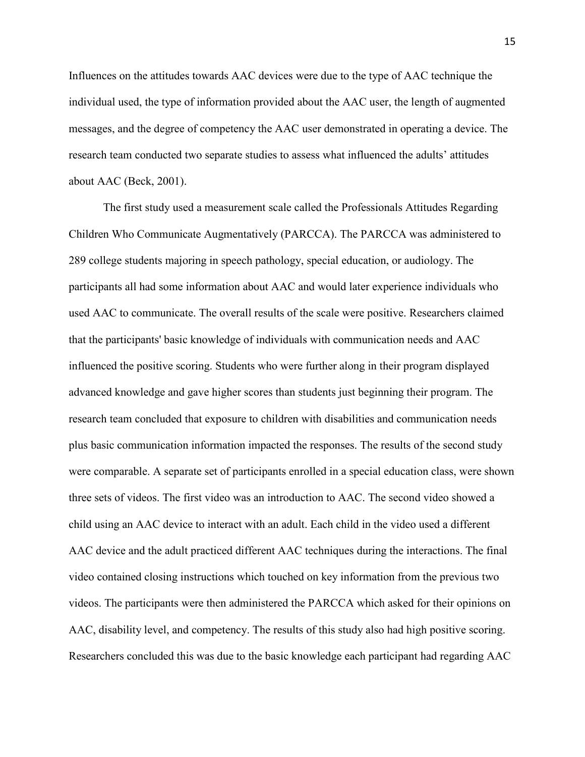Influences on the attitudes towards AAC devices were due to the type of AAC technique the individual used, the type of information provided about the AAC user, the length of augmented messages, and the degree of competency the AAC user demonstrated in operating a device. The research team conducted two separate studies to assess what influenced the adults' attitudes about AAC (Beck, 2001).

The first study used a measurement scale called the Professionals Attitudes Regarding Children Who Communicate Augmentatively (PARCCA). The PARCCA was administered to 289 college students majoring in speech pathology, special education, or audiology. The participants all had some information about AAC and would later experience individuals who used AAC to communicate. The overall results of the scale were positive. Researchers claimed that the participants' basic knowledge of individuals with communication needs and AAC influenced the positive scoring. Students who were further along in their program displayed advanced knowledge and gave higher scores than students just beginning their program. The research team concluded that exposure to children with disabilities and communication needs plus basic communication information impacted the responses. The results of the second study were comparable. A separate set of participants enrolled in a special education class, were shown three sets of videos. The first video was an introduction to AAC. The second video showed a child using an AAC device to interact with an adult. Each child in the video used a different AAC device and the adult practiced different AAC techniques during the interactions. The final video contained closing instructions which touched on key information from the previous two videos. The participants were then administered the PARCCA which asked for their opinions on AAC, disability level, and competency. The results of this study also had high positive scoring. Researchers concluded this was due to the basic knowledge each participant had regarding AAC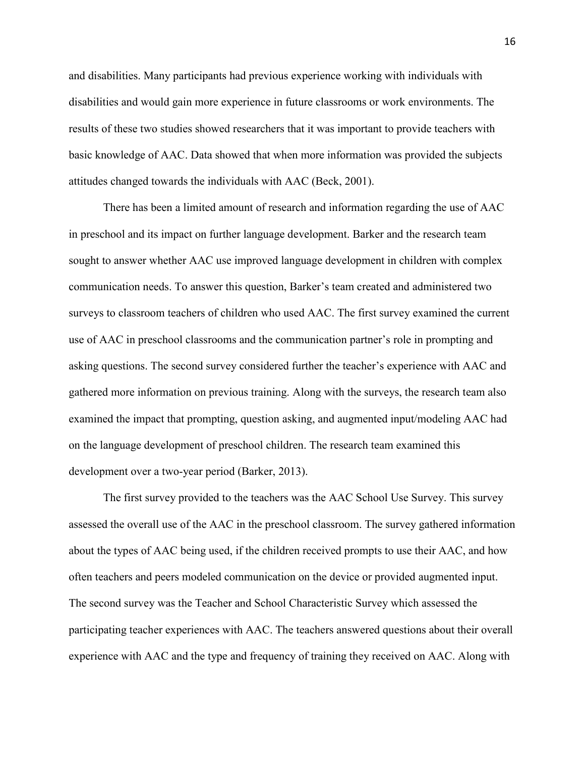and disabilities. Many participants had previous experience working with individuals with disabilities and would gain more experience in future classrooms or work environments. The results of these two studies showed researchers that it was important to provide teachers with basic knowledge of AAC. Data showed that when more information was provided the subjects attitudes changed towards the individuals with AAC (Beck, 2001).

There has been a limited amount of research and information regarding the use of AAC in preschool and its impact on further language development. Barker and the research team sought to answer whether AAC use improved language development in children with complex communication needs. To answer this question, Barker's team created and administered two surveys to classroom teachers of children who used AAC. The first survey examined the current use of AAC in preschool classrooms and the communication partner's role in prompting and asking questions. The second survey considered further the teacher's experience with AAC and gathered more information on previous training. Along with the surveys, the research team also examined the impact that prompting, question asking, and augmented input/modeling AAC had on the language development of preschool children. The research team examined this development over a two-year period (Barker, 2013).

The first survey provided to the teachers was the AAC School Use Survey. This survey assessed the overall use of the AAC in the preschool classroom. The survey gathered information about the types of AAC being used, if the children received prompts to use their AAC, and how often teachers and peers modeled communication on the device or provided augmented input. The second survey was the Teacher and School Characteristic Survey which assessed the participating teacher experiences with AAC. The teachers answered questions about their overall experience with AAC and the type and frequency of training they received on AAC. Along with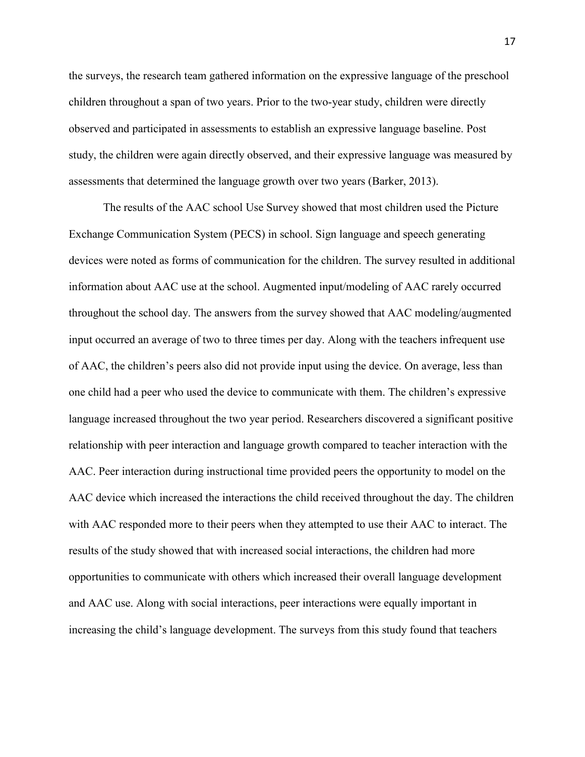the surveys, the research team gathered information on the expressive language of the preschool children throughout a span of two years. Prior to the two-year study, children were directly observed and participated in assessments to establish an expressive language baseline. Post study, the children were again directly observed, and their expressive language was measured by assessments that determined the language growth over two years (Barker, 2013).

 The results of the AAC school Use Survey showed that most children used the Picture Exchange Communication System (PECS) in school. Sign language and speech generating devices were noted as forms of communication for the children. The survey resulted in additional information about AAC use at the school. Augmented input/modeling of AAC rarely occurred throughout the school day. The answers from the survey showed that AAC modeling/augmented input occurred an average of two to three times per day. Along with the teachers infrequent use of AAC, the children's peers also did not provide input using the device. On average, less than one child had a peer who used the device to communicate with them. The children's expressive language increased throughout the two year period. Researchers discovered a significant positive relationship with peer interaction and language growth compared to teacher interaction with the AAC. Peer interaction during instructional time provided peers the opportunity to model on the AAC device which increased the interactions the child received throughout the day. The children with AAC responded more to their peers when they attempted to use their AAC to interact. The results of the study showed that with increased social interactions, the children had more opportunities to communicate with others which increased their overall language development and AAC use. Along with social interactions, peer interactions were equally important in increasing the child's language development. The surveys from this study found that teachers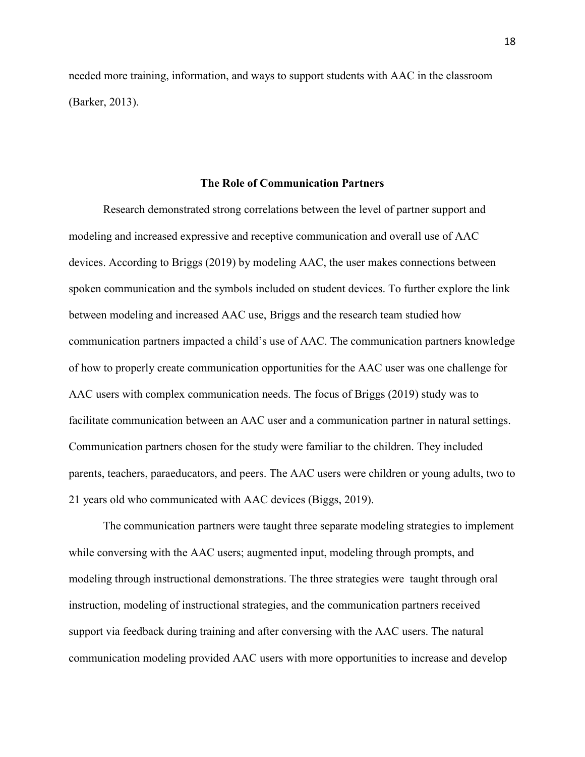needed more training, information, and ways to support students with AAC in the classroom (Barker, 2013).

### **The Role of Communication Partners**

<span id="page-18-0"></span>Research demonstrated strong correlations between the level of partner support and modeling and increased expressive and receptive communication and overall use of AAC devices. According to Briggs (2019) by modeling AAC, the user makes connections between spoken communication and the symbols included on student devices. To further explore the link between modeling and increased AAC use, Briggs and the research team studied how communication partners impacted a child's use of AAC. The communication partners knowledge of how to properly create communication opportunities for the AAC user was one challenge for AAC users with complex communication needs. The focus of Briggs (2019) study was to facilitate communication between an AAC user and a communication partner in natural settings. Communication partners chosen for the study were familiar to the children. They included parents, teachers, paraeducators, and peers. The AAC users were children or young adults, two to 21 years old who communicated with AAC devices (Biggs, 2019).

The communication partners were taught three separate modeling strategies to implement while conversing with the AAC users; augmented input, modeling through prompts, and modeling through instructional demonstrations. The three strategies were taught through oral instruction, modeling of instructional strategies, and the communication partners received support via feedback during training and after conversing with the AAC users. The natural communication modeling provided AAC users with more opportunities to increase and develop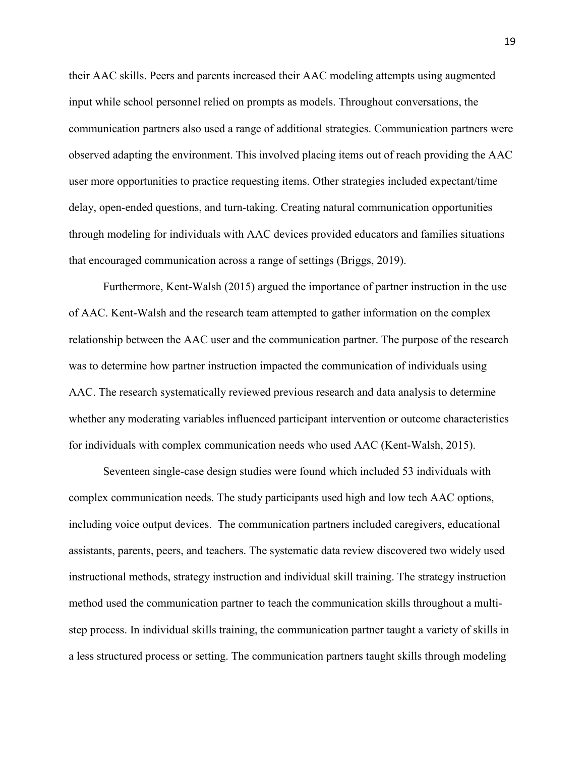their AAC skills. Peers and parents increased their AAC modeling attempts using augmented input while school personnel relied on prompts as models. Throughout conversations, the communication partners also used a range of additional strategies. Communication partners were observed adapting the environment. This involved placing items out of reach providing the AAC user more opportunities to practice requesting items. Other strategies included expectant/time delay, open-ended questions, and turn-taking. Creating natural communication opportunities through modeling for individuals with AAC devices provided educators and families situations that encouraged communication across a range of settings (Briggs, 2019).

Furthermore, Kent-Walsh (2015) argued the importance of partner instruction in the use of AAC. Kent-Walsh and the research team attempted to gather information on the complex relationship between the AAC user and the communication partner. The purpose of the research was to determine how partner instruction impacted the communication of individuals using AAC. The research systematically reviewed previous research and data analysis to determine whether any moderating variables influenced participant intervention or outcome characteristics for individuals with complex communication needs who used AAC (Kent-Walsh, 2015).

Seventeen single-case design studies were found which included 53 individuals with complex communication needs. The study participants used high and low tech AAC options, including voice output devices. The communication partners included caregivers, educational assistants, parents, peers, and teachers. The systematic data review discovered two widely used instructional methods, strategy instruction and individual skill training. The strategy instruction method used the communication partner to teach the communication skills throughout a multistep process. In individual skills training, the communication partner taught a variety of skills in a less structured process or setting. The communication partners taught skills through modeling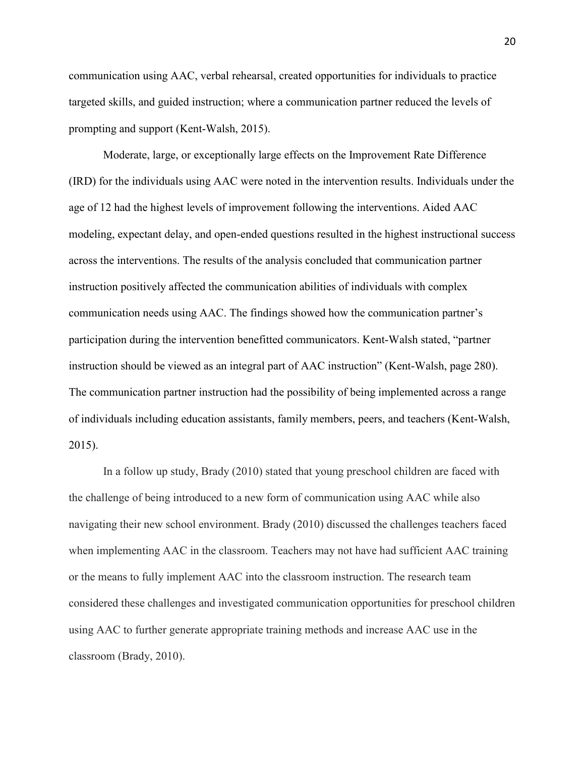communication using AAC, verbal rehearsal, created opportunities for individuals to practice targeted skills, and guided instruction; where a communication partner reduced the levels of prompting and support (Kent-Walsh, 2015).

Moderate, large, or exceptionally large effects on the Improvement Rate Difference (IRD) for the individuals using AAC were noted in the intervention results. Individuals under the age of 12 had the highest levels of improvement following the interventions. Aided AAC modeling, expectant delay, and open-ended questions resulted in the highest instructional success across the interventions. The results of the analysis concluded that communication partner instruction positively affected the communication abilities of individuals with complex communication needs using AAC. The findings showed how the communication partner's participation during the intervention benefitted communicators. Kent-Walsh stated, "partner instruction should be viewed as an integral part of AAC instruction" (Kent-Walsh, page 280). The communication partner instruction had the possibility of being implemented across a range of individuals including education assistants, family members, peers, and teachers (Kent-Walsh, 2015).

In a follow up study, Brady (2010) stated that young preschool children are faced with the challenge of being introduced to a new form of communication using AAC while also navigating their new school environment. Brady (2010) discussed the challenges teachers faced when implementing AAC in the classroom. Teachers may not have had sufficient AAC training or the means to fully implement AAC into the classroom instruction. The research team considered these challenges and investigated communication opportunities for preschool children using AAC to further generate appropriate training methods and increase AAC use in the classroom (Brady, 2010).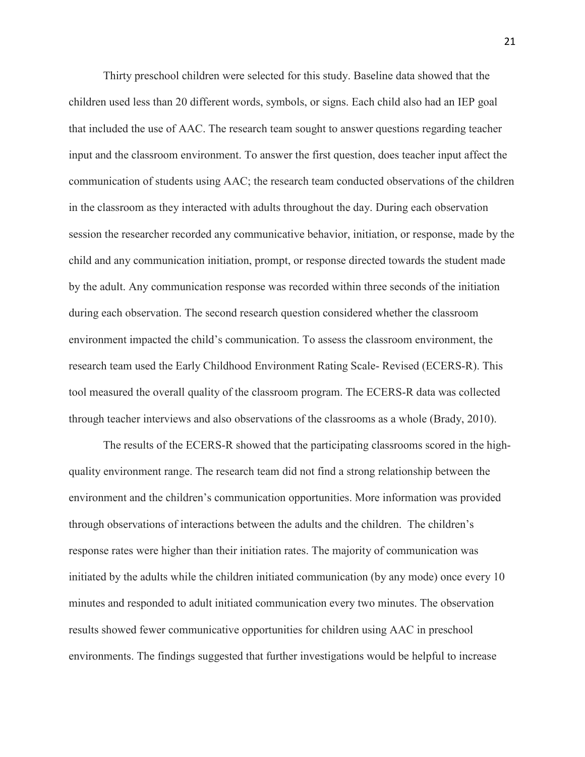Thirty preschool children were selected for this study. Baseline data showed that the children used less than 20 different words, symbols, or signs. Each child also had an IEP goal that included the use of AAC. The research team sought to answer questions regarding teacher input and the classroom environment. To answer the first question, does teacher input affect the communication of students using AAC; the research team conducted observations of the children in the classroom as they interacted with adults throughout the day. During each observation session the researcher recorded any communicative behavior, initiation, or response, made by the child and any communication initiation, prompt, or response directed towards the student made by the adult. Any communication response was recorded within three seconds of the initiation during each observation. The second research question considered whether the classroom environment impacted the child's communication. To assess the classroom environment, the research team used the Early Childhood Environment Rating Scale- Revised (ECERS-R). This tool measured the overall quality of the classroom program. The ECERS-R data was collected through teacher interviews and also observations of the classrooms as a whole (Brady, 2010).

The results of the ECERS-R showed that the participating classrooms scored in the highquality environment range. The research team did not find a strong relationship between the environment and the children's communication opportunities. More information was provided through observations of interactions between the adults and the children. The children's response rates were higher than their initiation rates. The majority of communication was initiated by the adults while the children initiated communication (by any mode) once every 10 minutes and responded to adult initiated communication every two minutes. The observation results showed fewer communicative opportunities for children using AAC in preschool environments. The findings suggested that further investigations would be helpful to increase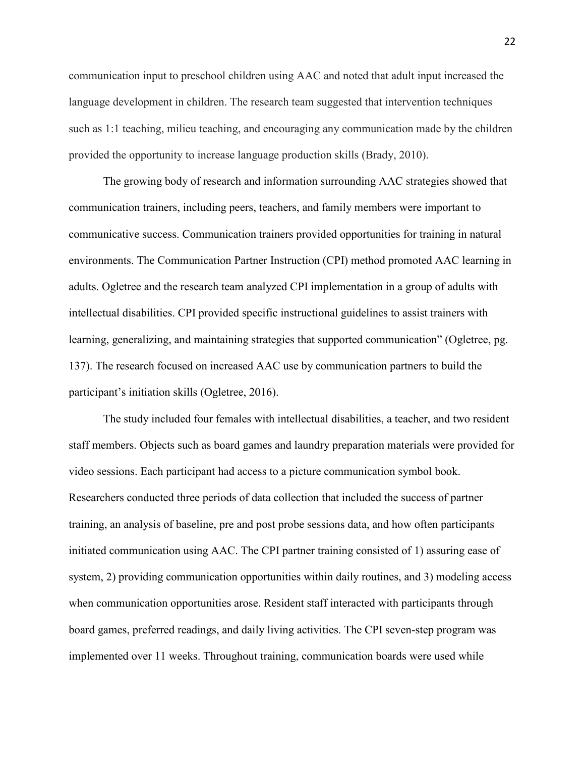communication input to preschool children using AAC and noted that adult input increased the language development in children. The research team suggested that intervention techniques such as 1:1 teaching, milieu teaching, and encouraging any communication made by the children provided the opportunity to increase language production skills (Brady, 2010).

The growing body of research and information surrounding AAC strategies showed that communication trainers, including peers, teachers, and family members were important to communicative success. Communication trainers provided opportunities for training in natural environments. The Communication Partner Instruction (CPI) method promoted AAC learning in adults. Ogletree and the research team analyzed CPI implementation in a group of adults with intellectual disabilities. CPI provided specific instructional guidelines to assist trainers with learning, generalizing, and maintaining strategies that supported communication" (Ogletree, pg. 137). The research focused on increased AAC use by communication partners to build the participant's initiation skills (Ogletree, 2016).

The study included four females with intellectual disabilities, a teacher, and two resident staff members. Objects such as board games and laundry preparation materials were provided for video sessions. Each participant had access to a picture communication symbol book. Researchers conducted three periods of data collection that included the success of partner training, an analysis of baseline, pre and post probe sessions data, and how often participants initiated communication using AAC. The CPI partner training consisted of 1) assuring ease of system, 2) providing communication opportunities within daily routines, and 3) modeling access when communication opportunities arose. Resident staff interacted with participants through board games, preferred readings, and daily living activities. The CPI seven-step program was implemented over 11 weeks. Throughout training, communication boards were used while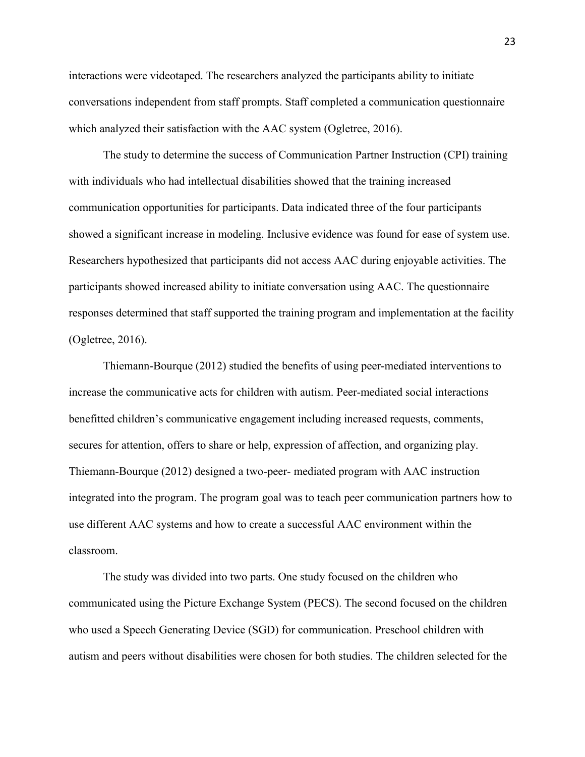interactions were videotaped. The researchers analyzed the participants ability to initiate conversations independent from staff prompts. Staff completed a communication questionnaire which analyzed their satisfaction with the AAC system (Ogletree, 2016).

 The study to determine the success of Communication Partner Instruction (CPI) training with individuals who had intellectual disabilities showed that the training increased communication opportunities for participants. Data indicated three of the four participants showed a significant increase in modeling. Inclusive evidence was found for ease of system use. Researchers hypothesized that participants did not access AAC during enjoyable activities. The participants showed increased ability to initiate conversation using AAC. The questionnaire responses determined that staff supported the training program and implementation at the facility (Ogletree, 2016).

Thiemann-Bourque (2012) studied the benefits of using peer-mediated interventions to increase the communicative acts for children with autism. Peer-mediated social interactions benefitted children's communicative engagement including increased requests, comments, secures for attention, offers to share or help, expression of affection, and organizing play. Thiemann-Bourque (2012) designed a two-peer- mediated program with AAC instruction integrated into the program. The program goal was to teach peer communication partners how to use different AAC systems and how to create a successful AAC environment within the classroom.

 The study was divided into two parts. One study focused on the children who communicated using the Picture Exchange System (PECS). The second focused on the children who used a Speech Generating Device (SGD) for communication. Preschool children with autism and peers without disabilities were chosen for both studies. The children selected for the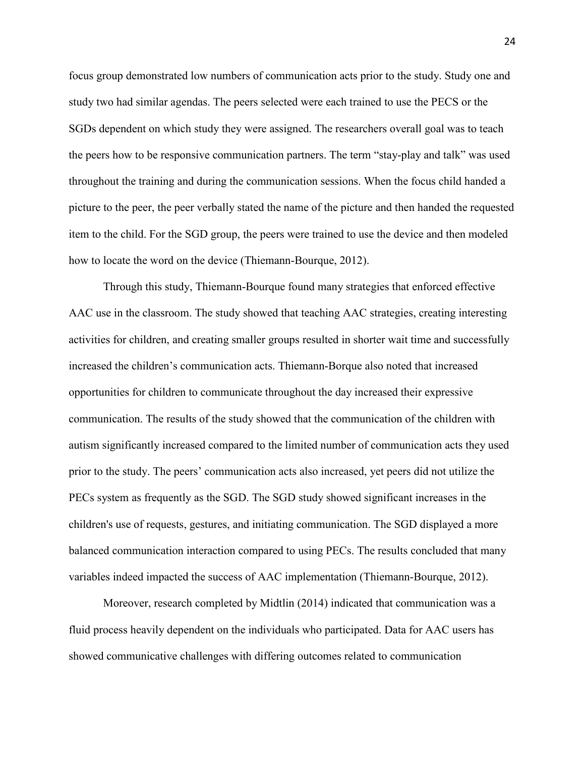focus group demonstrated low numbers of communication acts prior to the study. Study one and study two had similar agendas. The peers selected were each trained to use the PECS or the SGDs dependent on which study they were assigned. The researchers overall goal was to teach the peers how to be responsive communication partners. The term "stay-play and talk" was used throughout the training and during the communication sessions. When the focus child handed a picture to the peer, the peer verbally stated the name of the picture and then handed the requested item to the child. For the SGD group, the peers were trained to use the device and then modeled how to locate the word on the device (Thiemann-Bourque, 2012).

Through this study, Thiemann-Bourque found many strategies that enforced effective AAC use in the classroom. The study showed that teaching AAC strategies, creating interesting activities for children, and creating smaller groups resulted in shorter wait time and successfully increased the children's communication acts. Thiemann-Borque also noted that increased opportunities for children to communicate throughout the day increased their expressive communication. The results of the study showed that the communication of the children with autism significantly increased compared to the limited number of communication acts they used prior to the study. The peers' communication acts also increased, yet peers did not utilize the PECs system as frequently as the SGD. The SGD study showed significant increases in the children's use of requests, gestures, and initiating communication. The SGD displayed a more balanced communication interaction compared to using PECs. The results concluded that many variables indeed impacted the success of AAC implementation (Thiemann-Bourque, 2012).

Moreover, research completed by Midtlin (2014) indicated that communication was a fluid process heavily dependent on the individuals who participated. Data for AAC users has showed communicative challenges with differing outcomes related to communication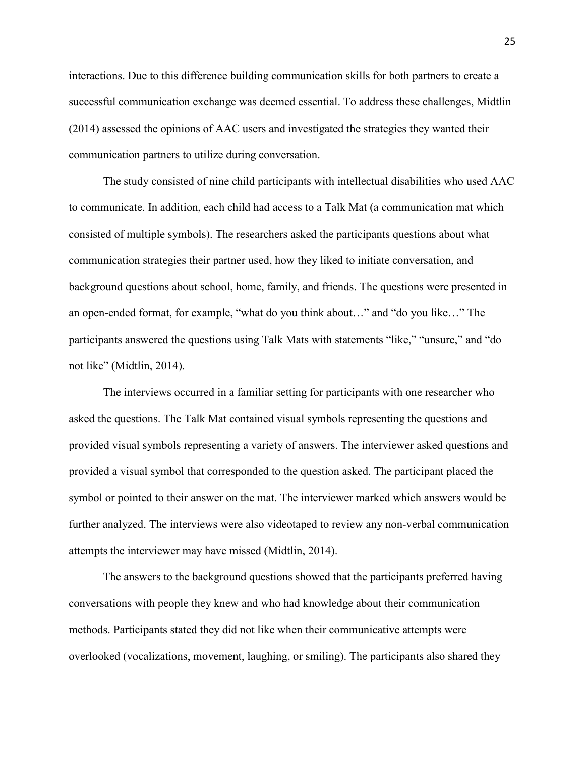interactions. Due to this difference building communication skills for both partners to create a successful communication exchange was deemed essential. To address these challenges, Midtlin (2014) assessed the opinions of AAC users and investigated the strategies they wanted their communication partners to utilize during conversation.

 The study consisted of nine child participants with intellectual disabilities who used AAC to communicate. In addition, each child had access to a Talk Mat (a communication mat which consisted of multiple symbols). The researchers asked the participants questions about what communication strategies their partner used, how they liked to initiate conversation, and background questions about school, home, family, and friends. The questions were presented in an open-ended format, for example, "what do you think about…" and "do you like…" The participants answered the questions using Talk Mats with statements "like," "unsure," and "do not like" (Midtlin, 2014).

The interviews occurred in a familiar setting for participants with one researcher who asked the questions. The Talk Mat contained visual symbols representing the questions and provided visual symbols representing a variety of answers. The interviewer asked questions and provided a visual symbol that corresponded to the question asked. The participant placed the symbol or pointed to their answer on the mat. The interviewer marked which answers would be further analyzed. The interviews were also videotaped to review any non-verbal communication attempts the interviewer may have missed (Midtlin, 2014).

 The answers to the background questions showed that the participants preferred having conversations with people they knew and who had knowledge about their communication methods. Participants stated they did not like when their communicative attempts were overlooked (vocalizations, movement, laughing, or smiling). The participants also shared they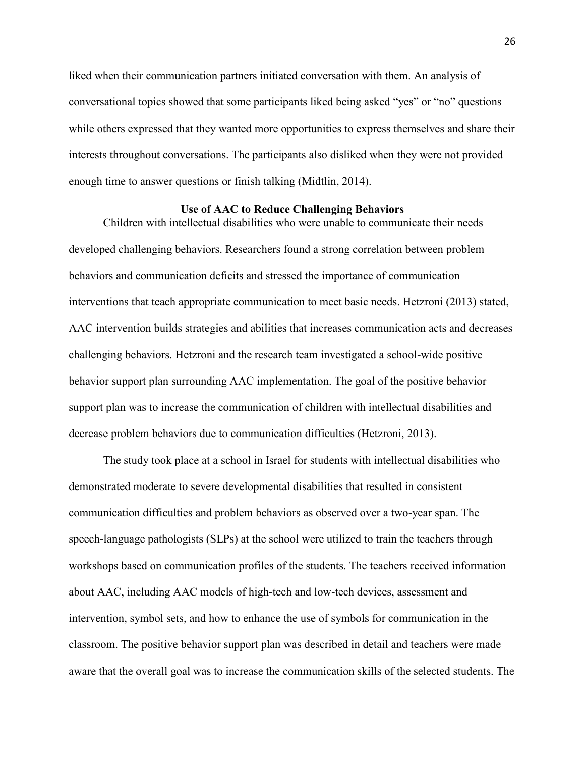liked when their communication partners initiated conversation with them. An analysis of conversational topics showed that some participants liked being asked "yes" or "no" questions while others expressed that they wanted more opportunities to express themselves and share their interests throughout conversations. The participants also disliked when they were not provided enough time to answer questions or finish talking (Midtlin, 2014).

### **Use of AAC to Reduce Challenging Behaviors**

<span id="page-26-0"></span>Children with intellectual disabilities who were unable to communicate their needs developed challenging behaviors. Researchers found a strong correlation between problem behaviors and communication deficits and stressed the importance of communication interventions that teach appropriate communication to meet basic needs. Hetzroni (2013) stated, AAC intervention builds strategies and abilities that increases communication acts and decreases challenging behaviors. Hetzroni and the research team investigated a school-wide positive behavior support plan surrounding AAC implementation. The goal of the positive behavior support plan was to increase the communication of children with intellectual disabilities and decrease problem behaviors due to communication difficulties (Hetzroni, 2013).

 The study took place at a school in Israel for students with intellectual disabilities who demonstrated moderate to severe developmental disabilities that resulted in consistent communication difficulties and problem behaviors as observed over a two-year span. The speech-language pathologists (SLPs) at the school were utilized to train the teachers through workshops based on communication profiles of the students. The teachers received information about AAC, including AAC models of high-tech and low-tech devices, assessment and intervention, symbol sets, and how to enhance the use of symbols for communication in the classroom. The positive behavior support plan was described in detail and teachers were made aware that the overall goal was to increase the communication skills of the selected students. The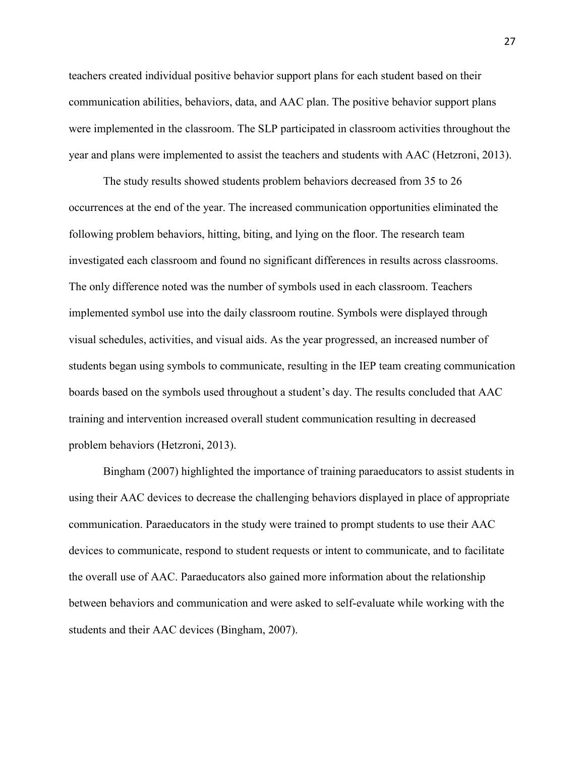teachers created individual positive behavior support plans for each student based on their communication abilities, behaviors, data, and AAC plan. The positive behavior support plans were implemented in the classroom. The SLP participated in classroom activities throughout the year and plans were implemented to assist the teachers and students with AAC (Hetzroni, 2013).

The study results showed students problem behaviors decreased from 35 to 26 occurrences at the end of the year. The increased communication opportunities eliminated the following problem behaviors, hitting, biting, and lying on the floor. The research team investigated each classroom and found no significant differences in results across classrooms. The only difference noted was the number of symbols used in each classroom. Teachers implemented symbol use into the daily classroom routine. Symbols were displayed through visual schedules, activities, and visual aids. As the year progressed, an increased number of students began using symbols to communicate, resulting in the IEP team creating communication boards based on the symbols used throughout a student's day. The results concluded that AAC training and intervention increased overall student communication resulting in decreased problem behaviors (Hetzroni, 2013).

Bingham (2007) highlighted the importance of training paraeducators to assist students in using their AAC devices to decrease the challenging behaviors displayed in place of appropriate communication. Paraeducators in the study were trained to prompt students to use their AAC devices to communicate, respond to student requests or intent to communicate, and to facilitate the overall use of AAC. Paraeducators also gained more information about the relationship between behaviors and communication and were asked to self-evaluate while working with the students and their AAC devices (Bingham, 2007).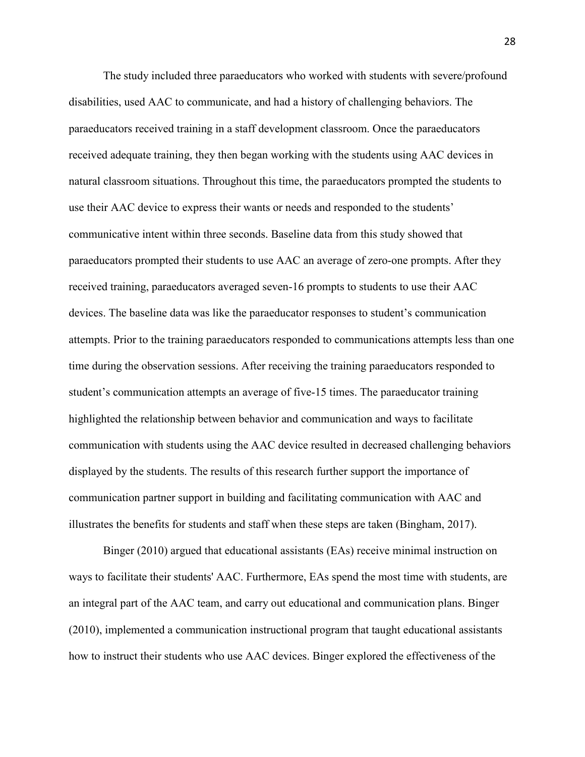The study included three paraeducators who worked with students with severe/profound disabilities, used AAC to communicate, and had a history of challenging behaviors. The paraeducators received training in a staff development classroom. Once the paraeducators received adequate training, they then began working with the students using AAC devices in natural classroom situations. Throughout this time, the paraeducators prompted the students to use their AAC device to express their wants or needs and responded to the students' communicative intent within three seconds. Baseline data from this study showed that paraeducators prompted their students to use AAC an average of zero-one prompts. After they received training, paraeducators averaged seven-16 prompts to students to use their AAC devices. The baseline data was like the paraeducator responses to student's communication attempts. Prior to the training paraeducators responded to communications attempts less than one time during the observation sessions. After receiving the training paraeducators responded to student's communication attempts an average of five-15 times. The paraeducator training highlighted the relationship between behavior and communication and ways to facilitate communication with students using the AAC device resulted in decreased challenging behaviors displayed by the students. The results of this research further support the importance of communication partner support in building and facilitating communication with AAC and illustrates the benefits for students and staff when these steps are taken (Bingham, 2017).

Binger (2010) argued that educational assistants (EAs) receive minimal instruction on ways to facilitate their students' AAC. Furthermore, EAs spend the most time with students, are an integral part of the AAC team, and carry out educational and communication plans. Binger (2010), implemented a communication instructional program that taught educational assistants how to instruct their students who use AAC devices. Binger explored the effectiveness of the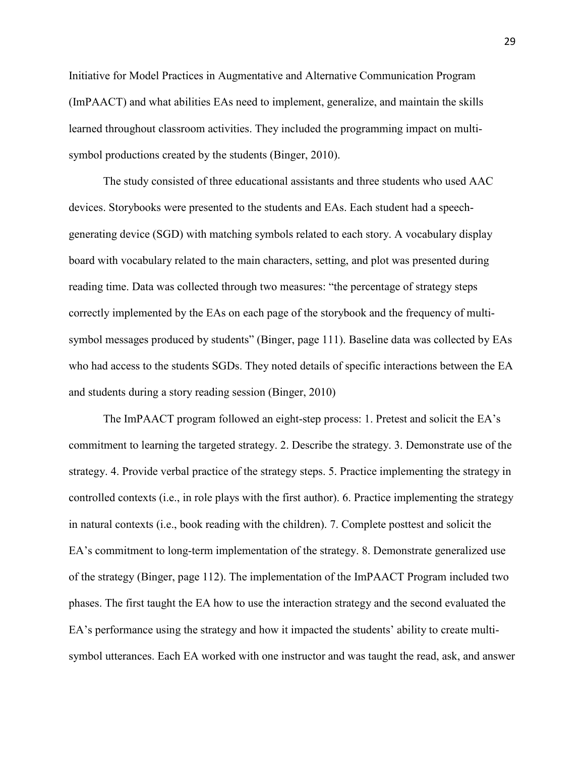Initiative for Model Practices in Augmentative and Alternative Communication Program (ImPAACT) and what abilities EAs need to implement, generalize, and maintain the skills learned throughout classroom activities. They included the programming impact on multisymbol productions created by the students (Binger, 2010).

 The study consisted of three educational assistants and three students who used AAC devices. Storybooks were presented to the students and EAs. Each student had a speechgenerating device (SGD) with matching symbols related to each story. A vocabulary display board with vocabulary related to the main characters, setting, and plot was presented during reading time. Data was collected through two measures: "the percentage of strategy steps correctly implemented by the EAs on each page of the storybook and the frequency of multisymbol messages produced by students" (Binger, page 111). Baseline data was collected by EAs who had access to the students SGDs. They noted details of specific interactions between the EA and students during a story reading session (Binger, 2010)

The ImPAACT program followed an eight-step process: 1. Pretest and solicit the EA's commitment to learning the targeted strategy. 2. Describe the strategy. 3. Demonstrate use of the strategy. 4. Provide verbal practice of the strategy steps. 5. Practice implementing the strategy in controlled contexts (i.e., in role plays with the first author). 6. Practice implementing the strategy in natural contexts (i.e., book reading with the children). 7. Complete posttest and solicit the EA's commitment to long-term implementation of the strategy. 8. Demonstrate generalized use of the strategy (Binger, page 112). The implementation of the ImPAACT Program included two phases. The first taught the EA how to use the interaction strategy and the second evaluated the EA's performance using the strategy and how it impacted the students' ability to create multisymbol utterances. Each EA worked with one instructor and was taught the read, ask, and answer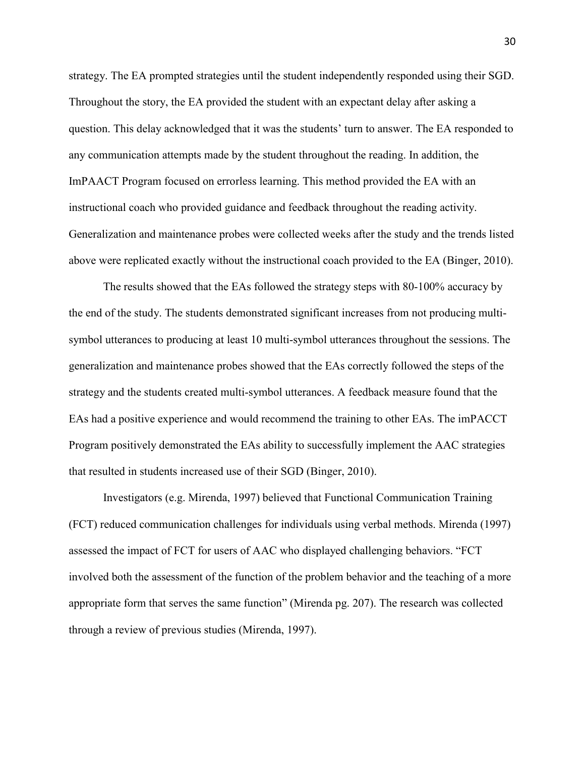strategy. The EA prompted strategies until the student independently responded using their SGD. Throughout the story, the EA provided the student with an expectant delay after asking a question. This delay acknowledged that it was the students' turn to answer. The EA responded to any communication attempts made by the student throughout the reading. In addition, the ImPAACT Program focused on errorless learning. This method provided the EA with an instructional coach who provided guidance and feedback throughout the reading activity. Generalization and maintenance probes were collected weeks after the study and the trends listed above were replicated exactly without the instructional coach provided to the EA (Binger, 2010).

The results showed that the EAs followed the strategy steps with 80-100% accuracy by the end of the study. The students demonstrated significant increases from not producing multisymbol utterances to producing at least 10 multi-symbol utterances throughout the sessions. The generalization and maintenance probes showed that the EAs correctly followed the steps of the strategy and the students created multi-symbol utterances. A feedback measure found that the EAs had a positive experience and would recommend the training to other EAs. The imPACCT Program positively demonstrated the EAs ability to successfully implement the AAC strategies that resulted in students increased use of their SGD (Binger, 2010).

Investigators (e.g. Mirenda, 1997) believed that Functional Communication Training (FCT) reduced communication challenges for individuals using verbal methods. Mirenda (1997) assessed the impact of FCT for users of AAC who displayed challenging behaviors. "FCT involved both the assessment of the function of the problem behavior and the teaching of a more appropriate form that serves the same function" (Mirenda pg. 207). The research was collected through a review of previous studies (Mirenda, 1997).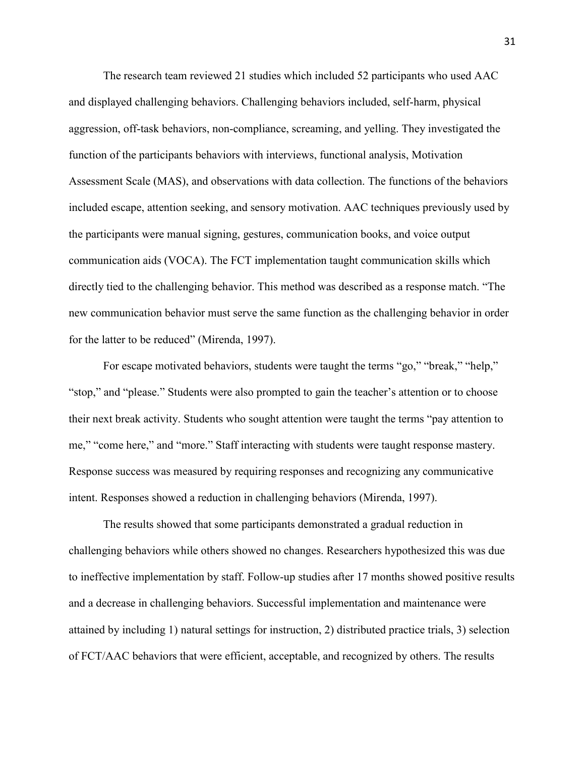The research team reviewed 21 studies which included 52 participants who used AAC and displayed challenging behaviors. Challenging behaviors included, self-harm, physical aggression, off-task behaviors, non-compliance, screaming, and yelling. They investigated the function of the participants behaviors with interviews, functional analysis, Motivation Assessment Scale (MAS), and observations with data collection. The functions of the behaviors included escape, attention seeking, and sensory motivation. AAC techniques previously used by the participants were manual signing, gestures, communication books, and voice output communication aids (VOCA). The FCT implementation taught communication skills which directly tied to the challenging behavior. This method was described as a response match. "The new communication behavior must serve the same function as the challenging behavior in order for the latter to be reduced" (Mirenda, 1997).

For escape motivated behaviors, students were taught the terms "go," "break," "help," "stop," and "please." Students were also prompted to gain the teacher's attention or to choose their next break activity. Students who sought attention were taught the terms "pay attention to me," "come here," and "more." Staff interacting with students were taught response mastery. Response success was measured by requiring responses and recognizing any communicative intent. Responses showed a reduction in challenging behaviors (Mirenda, 1997).

 The results showed that some participants demonstrated a gradual reduction in challenging behaviors while others showed no changes. Researchers hypothesized this was due to ineffective implementation by staff. Follow-up studies after 17 months showed positive results and a decrease in challenging behaviors. Successful implementation and maintenance were attained by including 1) natural settings for instruction, 2) distributed practice trials, 3) selection of FCT/AAC behaviors that were efficient, acceptable, and recognized by others. The results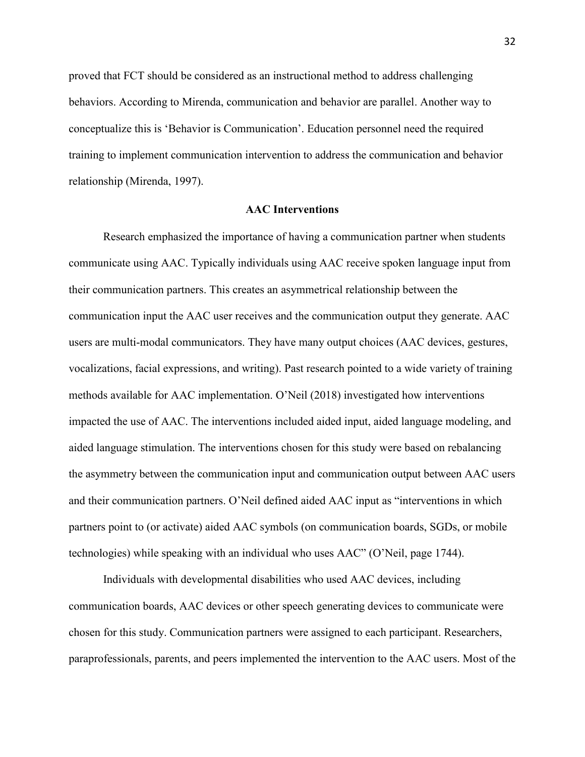proved that FCT should be considered as an instructional method to address challenging behaviors. According to Mirenda, communication and behavior are parallel. Another way to conceptualize this is 'Behavior is Communication'. Education personnel need the required training to implement communication intervention to address the communication and behavior relationship (Mirenda, 1997).

### **AAC Interventions**

<span id="page-32-0"></span>Research emphasized the importance of having a communication partner when students communicate using AAC. Typically individuals using AAC receive spoken language input from their communication partners. This creates an asymmetrical relationship between the communication input the AAC user receives and the communication output they generate. AAC users are multi-modal communicators. They have many output choices (AAC devices, gestures, vocalizations, facial expressions, and writing). Past research pointed to a wide variety of training methods available for AAC implementation. O'Neil (2018) investigated how interventions impacted the use of AAC. The interventions included aided input, aided language modeling, and aided language stimulation. The interventions chosen for this study were based on rebalancing the asymmetry between the communication input and communication output between AAC users and their communication partners. O'Neil defined aided AAC input as "interventions in which partners point to (or activate) aided AAC symbols (on communication boards, SGDs, or mobile technologies) while speaking with an individual who uses AAC" (O'Neil, page 1744).

Individuals with developmental disabilities who used AAC devices, including communication boards, AAC devices or other speech generating devices to communicate were chosen for this study. Communication partners were assigned to each participant. Researchers, paraprofessionals, parents, and peers implemented the intervention to the AAC users. Most of the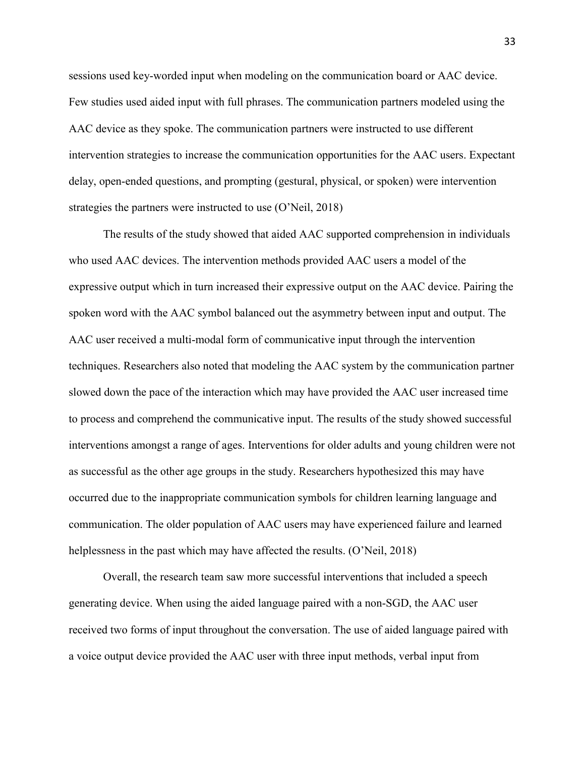sessions used key-worded input when modeling on the communication board or AAC device. Few studies used aided input with full phrases. The communication partners modeled using the AAC device as they spoke. The communication partners were instructed to use different intervention strategies to increase the communication opportunities for the AAC users. Expectant delay, open-ended questions, and prompting (gestural, physical, or spoken) were intervention strategies the partners were instructed to use (O'Neil, 2018)

The results of the study showed that aided AAC supported comprehension in individuals who used AAC devices. The intervention methods provided AAC users a model of the expressive output which in turn increased their expressive output on the AAC device. Pairing the spoken word with the AAC symbol balanced out the asymmetry between input and output. The AAC user received a multi-modal form of communicative input through the intervention techniques. Researchers also noted that modeling the AAC system by the communication partner slowed down the pace of the interaction which may have provided the AAC user increased time to process and comprehend the communicative input. The results of the study showed successful interventions amongst a range of ages. Interventions for older adults and young children were not as successful as the other age groups in the study. Researchers hypothesized this may have occurred due to the inappropriate communication symbols for children learning language and communication. The older population of AAC users may have experienced failure and learned helplessness in the past which may have affected the results. (O'Neil, 2018)

Overall, the research team saw more successful interventions that included a speech generating device. When using the aided language paired with a non-SGD, the AAC user received two forms of input throughout the conversation. The use of aided language paired with a voice output device provided the AAC user with three input methods, verbal input from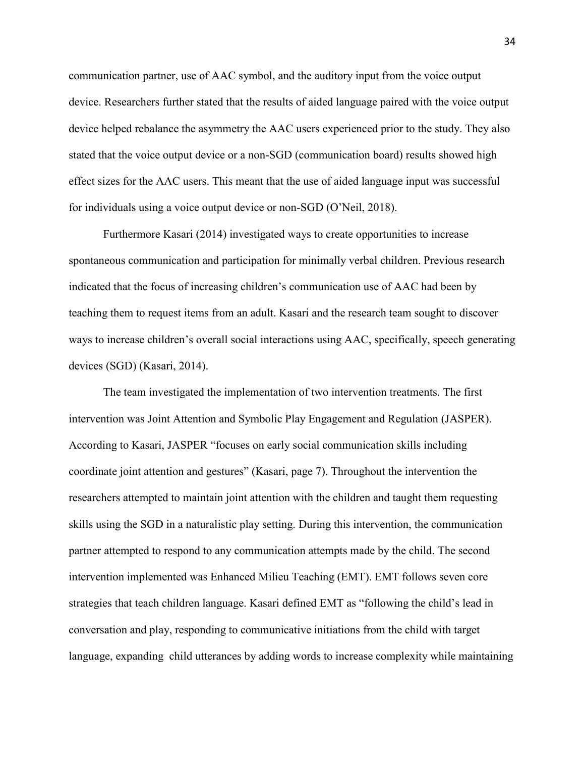communication partner, use of AAC symbol, and the auditory input from the voice output device. Researchers further stated that the results of aided language paired with the voice output device helped rebalance the asymmetry the AAC users experienced prior to the study. They also stated that the voice output device or a non-SGD (communication board) results showed high effect sizes for the AAC users. This meant that the use of aided language input was successful for individuals using a voice output device or non-SGD (O'Neil, 2018).

Furthermore Kasari (2014) investigated ways to create opportunities to increase spontaneous communication and participation for minimally verbal children. Previous research indicated that the focus of increasing children's communication use of AAC had been by teaching them to request items from an adult. Kasari and the research team sought to discover ways to increase children's overall social interactions using AAC, specifically, speech generating devices (SGD) (Kasari, 2014).

The team investigated the implementation of two intervention treatments. The first intervention was Joint Attention and Symbolic Play Engagement and Regulation (JASPER). According to Kasari, JASPER "focuses on early social communication skills including coordinate joint attention and gestures" (Kasari, page 7). Throughout the intervention the researchers attempted to maintain joint attention with the children and taught them requesting skills using the SGD in a naturalistic play setting. During this intervention, the communication partner attempted to respond to any communication attempts made by the child. The second intervention implemented was Enhanced Milieu Teaching (EMT). EMT follows seven core strategies that teach children language. Kasari defined EMT as "following the child's lead in conversation and play, responding to communicative initiations from the child with target language, expanding child utterances by adding words to increase complexity while maintaining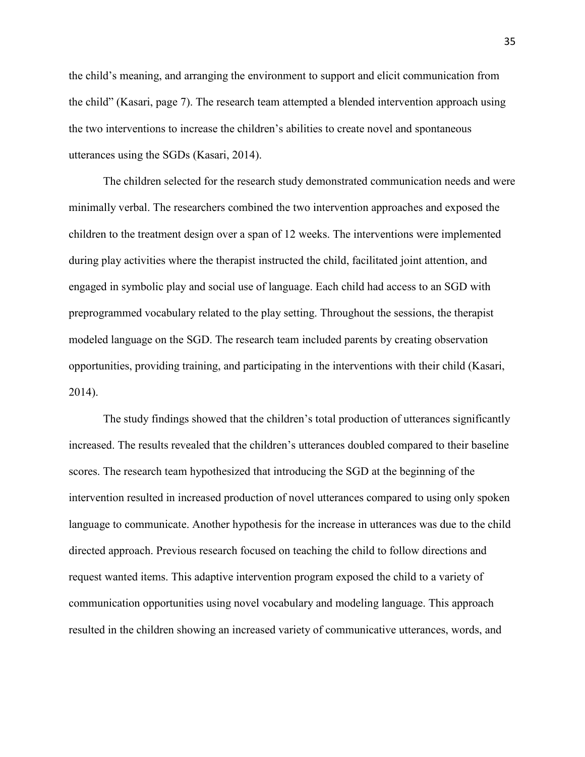the child's meaning, and arranging the environment to support and elicit communication from the child" (Kasari, page 7). The research team attempted a blended intervention approach using the two interventions to increase the children's abilities to create novel and spontaneous utterances using the SGDs (Kasari, 2014).

The children selected for the research study demonstrated communication needs and were minimally verbal. The researchers combined the two intervention approaches and exposed the children to the treatment design over a span of 12 weeks. The interventions were implemented during play activities where the therapist instructed the child, facilitated joint attention, and engaged in symbolic play and social use of language. Each child had access to an SGD with preprogrammed vocabulary related to the play setting. Throughout the sessions, the therapist modeled language on the SGD. The research team included parents by creating observation opportunities, providing training, and participating in the interventions with their child (Kasari, 2014).

The study findings showed that the children's total production of utterances significantly increased. The results revealed that the children's utterances doubled compared to their baseline scores. The research team hypothesized that introducing the SGD at the beginning of the intervention resulted in increased production of novel utterances compared to using only spoken language to communicate. Another hypothesis for the increase in utterances was due to the child directed approach. Previous research focused on teaching the child to follow directions and request wanted items. This adaptive intervention program exposed the child to a variety of communication opportunities using novel vocabulary and modeling language. This approach resulted in the children showing an increased variety of communicative utterances, words, and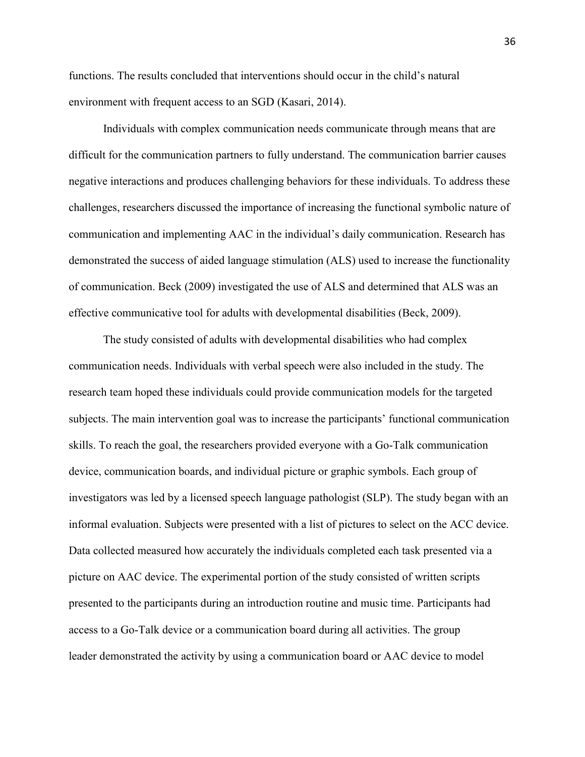functions. The results concluded that interventions should occur in the child's natural environment with frequent access to an SGD (Kasari, 2014).

Individuals with complex communication needs communicate through means that are difficult for the communication partners to fully understand. The communication barrier causes negative interactions and produces challenging behaviors for these individuals. To address these challenges, researchers discussed the importance of increasing the functional symbolic nature of communication and implementing AAC in the individual's daily communication. Research has demonstrated the success of aided language stimulation (ALS) used to increase the functionality of communication. Beck (2009) investigated the use of ALS and determined that ALS was an effective communicative tool for adults with developmental disabilities (Beck, 2009).

 The study consisted of adults with developmental disabilities who had complex communication needs. Individuals with verbal speech were also included in the study. The research team hoped these individuals could provide communication models for the targeted subjects. The main intervention goal was to increase the participants' functional communication skills. To reach the goal, the researchers provided everyone with a Go-Talk communication device, communication boards, and individual picture or graphic symbols. Each group of investigators was led by a licensed speech language pathologist (SLP). The study began with an informal evaluation. Subjects were presented with a list of pictures to select on the ACC device. Data collected measured how accurately the individuals completed each task presented via a picture on AAC device. The experimental portion of the study consisted of written scripts presented to the participants during an introduction routine and music time. Participants had access to a Go-Talk device or a communication board during all activities. The group leader demonstrated the activity by using a communication board or AAC device to model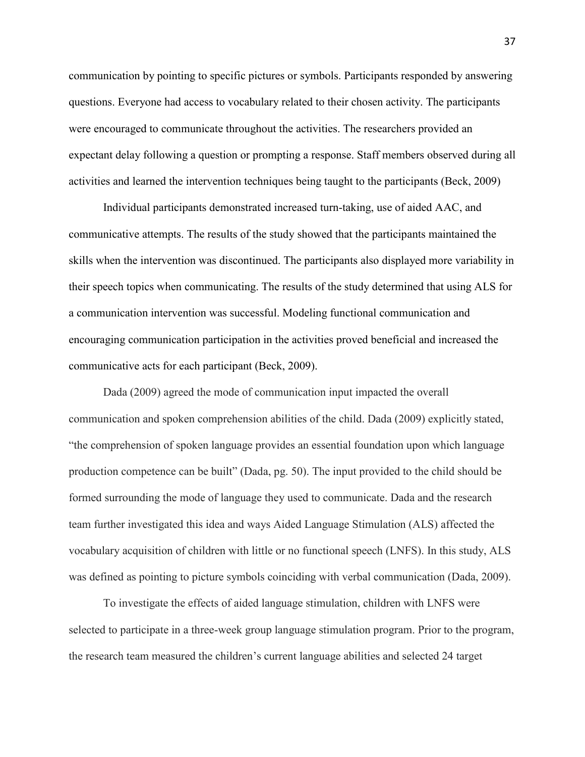communication by pointing to specific pictures or symbols. Participants responded by answering questions. Everyone had access to vocabulary related to their chosen activity. The participants were encouraged to communicate throughout the activities. The researchers provided an expectant delay following a question or prompting a response. Staff members observed during all activities and learned the intervention techniques being taught to the participants (Beck, 2009)

 Individual participants demonstrated increased turn-taking, use of aided AAC, and communicative attempts. The results of the study showed that the participants maintained the skills when the intervention was discontinued. The participants also displayed more variability in their speech topics when communicating. The results of the study determined that using ALS for a communication intervention was successful. Modeling functional communication and encouraging communication participation in the activities proved beneficial and increased the communicative acts for each participant (Beck, 2009).

Dada (2009) agreed the mode of communication input impacted the overall communication and spoken comprehension abilities of the child. Dada (2009) explicitly stated, "the comprehension of spoken language provides an essential foundation upon which language production competence can be built" (Dada, pg. 50). The input provided to the child should be formed surrounding the mode of language they used to communicate. Dada and the research team further investigated this idea and ways Aided Language Stimulation (ALS) affected the vocabulary acquisition of children with little or no functional speech (LNFS). In this study, ALS was defined as pointing to picture symbols coinciding with verbal communication (Dada, 2009).

To investigate the effects of aided language stimulation, children with LNFS were selected to participate in a three-week group language stimulation program. Prior to the program, the research team measured the children's current language abilities and selected 24 target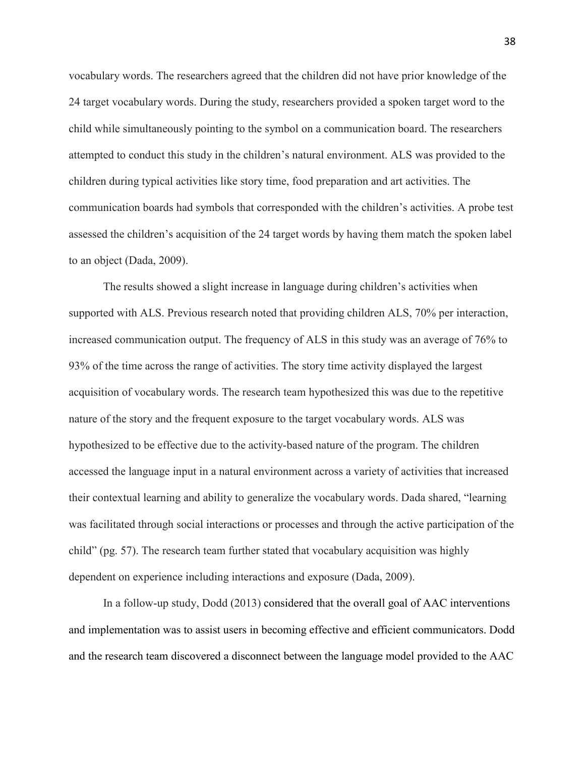vocabulary words. The researchers agreed that the children did not have prior knowledge of the 24 target vocabulary words. During the study, researchers provided a spoken target word to the child while simultaneously pointing to the symbol on a communication board. The researchers attempted to conduct this study in the children's natural environment. ALS was provided to the children during typical activities like story time, food preparation and art activities. The communication boards had symbols that corresponded with the children's activities. A probe test assessed the children's acquisition of the 24 target words by having them match the spoken label to an object (Dada, 2009).

 The results showed a slight increase in language during children's activities when supported with ALS. Previous research noted that providing children ALS, 70% per interaction, increased communication output. The frequency of ALS in this study was an average of 76% to 93% of the time across the range of activities. The story time activity displayed the largest acquisition of vocabulary words. The research team hypothesized this was due to the repetitive nature of the story and the frequent exposure to the target vocabulary words. ALS was hypothesized to be effective due to the activity-based nature of the program. The children accessed the language input in a natural environment across a variety of activities that increased their contextual learning and ability to generalize the vocabulary words. Dada shared, "learning was facilitated through social interactions or processes and through the active participation of the child" (pg. 57). The research team further stated that vocabulary acquisition was highly dependent on experience including interactions and exposure (Dada, 2009).

In a follow-up study, Dodd (2013) considered that the overall goal of AAC interventions and implementation was to assist users in becoming effective and efficient communicators. Dodd and the research team discovered a disconnect between the language model provided to the AAC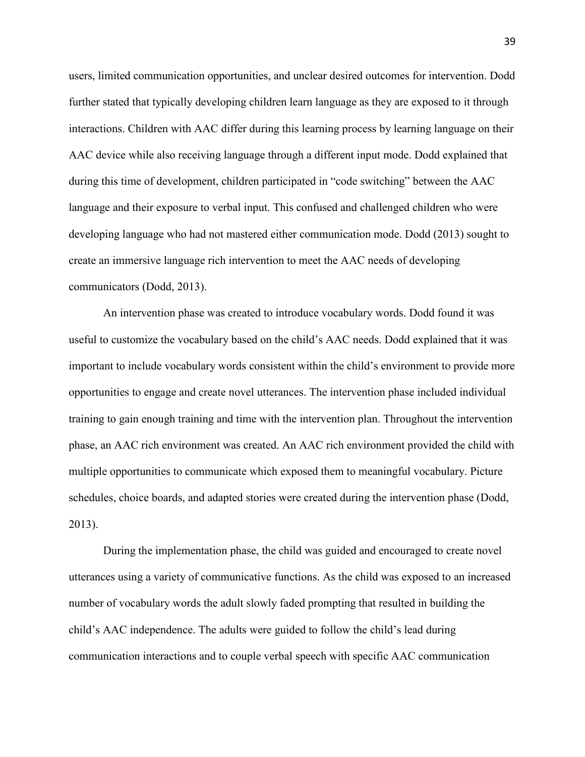users, limited communication opportunities, and unclear desired outcomes for intervention. Dodd further stated that typically developing children learn language as they are exposed to it through interactions. Children with AAC differ during this learning process by learning language on their AAC device while also receiving language through a different input mode. Dodd explained that during this time of development, children participated in "code switching" between the AAC language and their exposure to verbal input. This confused and challenged children who were developing language who had not mastered either communication mode. Dodd (2013) sought to create an immersive language rich intervention to meet the AAC needs of developing communicators (Dodd, 2013).

 An intervention phase was created to introduce vocabulary words. Dodd found it was useful to customize the vocabulary based on the child's AAC needs. Dodd explained that it was important to include vocabulary words consistent within the child's environment to provide more opportunities to engage and create novel utterances. The intervention phase included individual training to gain enough training and time with the intervention plan. Throughout the intervention phase, an AAC rich environment was created. An AAC rich environment provided the child with multiple opportunities to communicate which exposed them to meaningful vocabulary. Picture schedules, choice boards, and adapted stories were created during the intervention phase (Dodd, 2013).

During the implementation phase, the child was guided and encouraged to create novel utterances using a variety of communicative functions. As the child was exposed to an increased number of vocabulary words the adult slowly faded prompting that resulted in building the child's AAC independence. The adults were guided to follow the child's lead during communication interactions and to couple verbal speech with specific AAC communication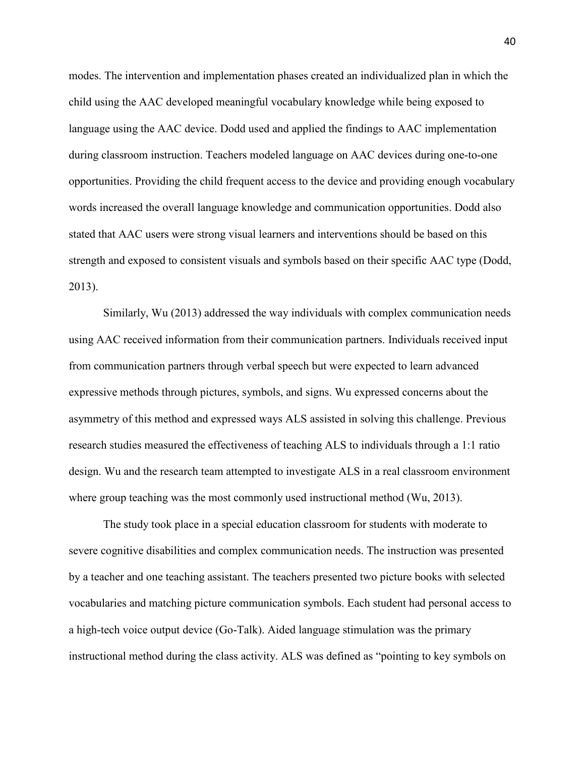modes. The intervention and implementation phases created an individualized plan in which the child using the AAC developed meaningful vocabulary knowledge while being exposed to language using the AAC device. Dodd used and applied the findings to AAC implementation during classroom instruction. Teachers modeled language on AAC devices during one-to-one opportunities. Providing the child frequent access to the device and providing enough vocabulary words increased the overall language knowledge and communication opportunities. Dodd also stated that AAC users were strong visual learners and interventions should be based on this strength and exposed to consistent visuals and symbols based on their specific AAC type (Dodd, 2013).

Similarly, Wu (2013) addressed the way individuals with complex communication needs using AAC received information from their communication partners. Individuals received input from communication partners through verbal speech but were expected to learn advanced expressive methods through pictures, symbols, and signs. Wu expressed concerns about the asymmetry of this method and expressed ways ALS assisted in solving this challenge. Previous research studies measured the effectiveness of teaching ALS to individuals through a 1:1 ratio design. Wu and the research team attempted to investigate ALS in a real classroom environment where group teaching was the most commonly used instructional method (Wu, 2013).

 The study took place in a special education classroom for students with moderate to severe cognitive disabilities and complex communication needs. The instruction was presented by a teacher and one teaching assistant. The teachers presented two picture books with selected vocabularies and matching picture communication symbols. Each student had personal access to a high-tech voice output device (Go-Talk). Aided language stimulation was the primary instructional method during the class activity. ALS was defined as "pointing to key symbols on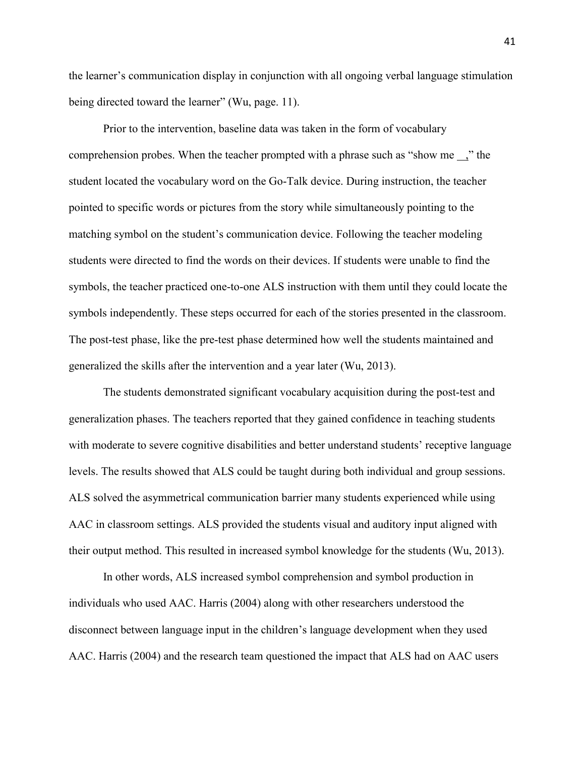the learner's communication display in conjunction with all ongoing verbal language stimulation being directed toward the learner" (Wu, page. 11).

Prior to the intervention, baseline data was taken in the form of vocabulary comprehension probes. When the teacher prompted with a phrase such as "show me ," the student located the vocabulary word on the Go-Talk device. During instruction, the teacher pointed to specific words or pictures from the story while simultaneously pointing to the matching symbol on the student's communication device. Following the teacher modeling students were directed to find the words on their devices. If students were unable to find the symbols, the teacher practiced one-to-one ALS instruction with them until they could locate the symbols independently. These steps occurred for each of the stories presented in the classroom. The post-test phase, like the pre-test phase determined how well the students maintained and generalized the skills after the intervention and a year later (Wu, 2013).

 The students demonstrated significant vocabulary acquisition during the post-test and generalization phases. The teachers reported that they gained confidence in teaching students with moderate to severe cognitive disabilities and better understand students' receptive language levels. The results showed that ALS could be taught during both individual and group sessions. ALS solved the asymmetrical communication barrier many students experienced while using AAC in classroom settings. ALS provided the students visual and auditory input aligned with their output method. This resulted in increased symbol knowledge for the students (Wu, 2013).

In other words, ALS increased symbol comprehension and symbol production in individuals who used AAC. Harris (2004) along with other researchers understood the disconnect between language input in the children's language development when they used AAC. Harris (2004) and the research team questioned the impact that ALS had on AAC users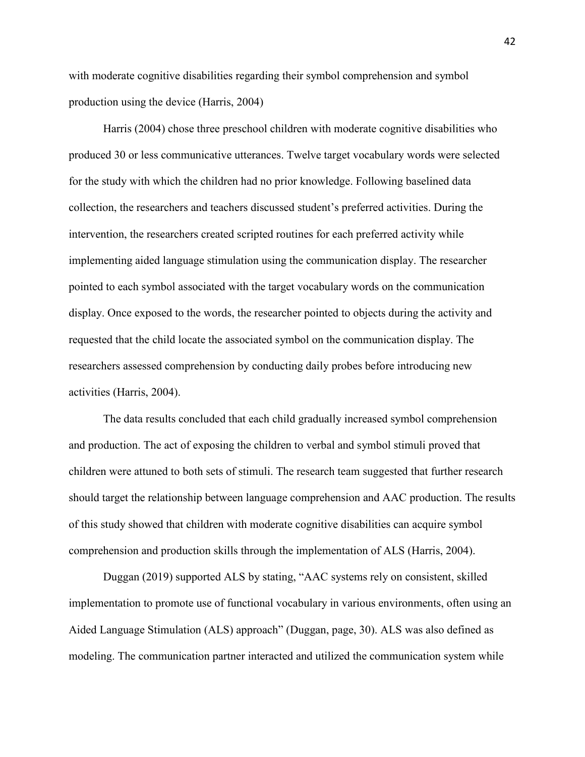with moderate cognitive disabilities regarding their symbol comprehension and symbol production using the device (Harris, 2004)

Harris (2004) chose three preschool children with moderate cognitive disabilities who produced 30 or less communicative utterances. Twelve target vocabulary words were selected for the study with which the children had no prior knowledge. Following baselined data collection, the researchers and teachers discussed student's preferred activities. During the intervention, the researchers created scripted routines for each preferred activity while implementing aided language stimulation using the communication display. The researcher pointed to each symbol associated with the target vocabulary words on the communication display. Once exposed to the words, the researcher pointed to objects during the activity and requested that the child locate the associated symbol on the communication display. The researchers assessed comprehension by conducting daily probes before introducing new activities (Harris, 2004).

 The data results concluded that each child gradually increased symbol comprehension and production. The act of exposing the children to verbal and symbol stimuli proved that children were attuned to both sets of stimuli. The research team suggested that further research should target the relationship between language comprehension and AAC production. The results of this study showed that children with moderate cognitive disabilities can acquire symbol comprehension and production skills through the implementation of ALS (Harris, 2004).

Duggan (2019) supported ALS by stating, "AAC systems rely on consistent, skilled implementation to promote use of functional vocabulary in various environments, often using an Aided Language Stimulation (ALS) approach" (Duggan, page, 30). ALS was also defined as modeling. The communication partner interacted and utilized the communication system while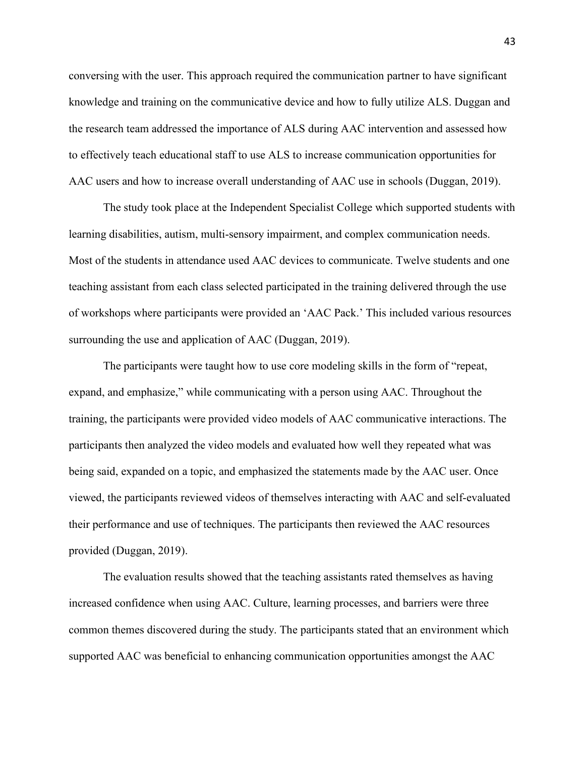conversing with the user. This approach required the communication partner to have significant knowledge and training on the communicative device and how to fully utilize ALS. Duggan and the research team addressed the importance of ALS during AAC intervention and assessed how to effectively teach educational staff to use ALS to increase communication opportunities for AAC users and how to increase overall understanding of AAC use in schools (Duggan, 2019).

 The study took place at the Independent Specialist College which supported students with learning disabilities, autism, multi-sensory impairment, and complex communication needs. Most of the students in attendance used AAC devices to communicate. Twelve students and one teaching assistant from each class selected participated in the training delivered through the use of workshops where participants were provided an 'AAC Pack.' This included various resources surrounding the use and application of AAC (Duggan, 2019).

The participants were taught how to use core modeling skills in the form of "repeat, expand, and emphasize," while communicating with a person using AAC. Throughout the training, the participants were provided video models of AAC communicative interactions. The participants then analyzed the video models and evaluated how well they repeated what was being said, expanded on a topic, and emphasized the statements made by the AAC user. Once viewed, the participants reviewed videos of themselves interacting with AAC and self-evaluated their performance and use of techniques. The participants then reviewed the AAC resources provided (Duggan, 2019).

 The evaluation results showed that the teaching assistants rated themselves as having increased confidence when using AAC. Culture, learning processes, and barriers were three common themes discovered during the study. The participants stated that an environment which supported AAC was beneficial to enhancing communication opportunities amongst the AAC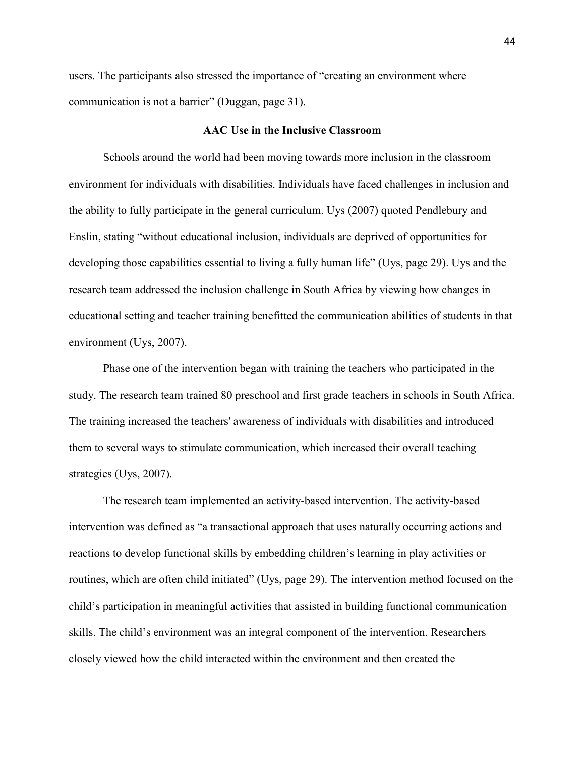users. The participants also stressed the importance of "creating an environment where communication is not a barrier" (Duggan, page 31).

### **AAC Use in the Inclusive Classroom**

<span id="page-44-0"></span>Schools around the world had been moving towards more inclusion in the classroom environment for individuals with disabilities. Individuals have faced challenges in inclusion and the ability to fully participate in the general curriculum. Uys (2007) quoted Pendlebury and Enslin, stating "without educational inclusion, individuals are deprived of opportunities for developing those capabilities essential to living a fully human life" (Uys, page 29). Uys and the research team addressed the inclusion challenge in South Africa by viewing how changes in educational setting and teacher training benefitted the communication abilities of students in that environment (Uys, 2007).

 Phase one of the intervention began with training the teachers who participated in the study. The research team trained 80 preschool and first grade teachers in schools in South Africa. The training increased the teachers' awareness of individuals with disabilities and introduced them to several ways to stimulate communication, which increased their overall teaching strategies (Uys, 2007).

The research team implemented an activity-based intervention. The activity-based intervention was defined as "a transactional approach that uses naturally occurring actions and reactions to develop functional skills by embedding children's learning in play activities or routines, which are often child initiated" (Uys, page 29). The intervention method focused on the child's participation in meaningful activities that assisted in building functional communication skills. The child's environment was an integral component of the intervention. Researchers closely viewed how the child interacted within the environment and then created the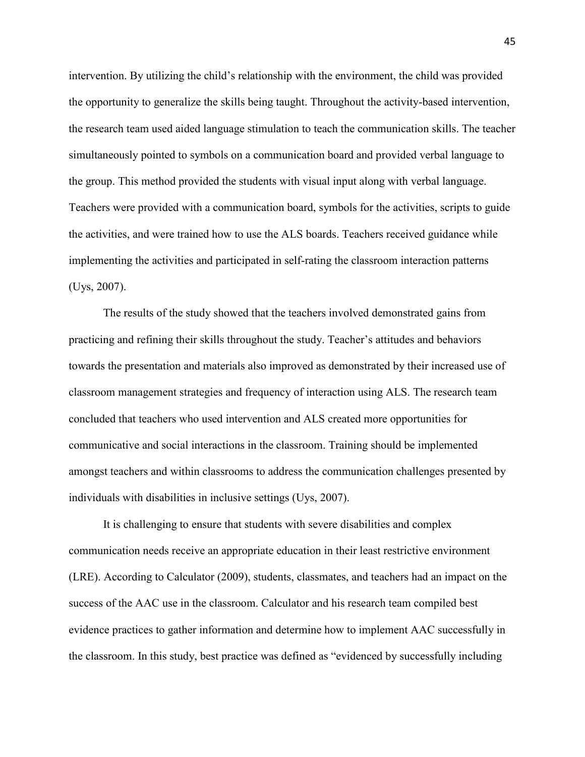intervention. By utilizing the child's relationship with the environment, the child was provided the opportunity to generalize the skills being taught. Throughout the activity-based intervention, the research team used aided language stimulation to teach the communication skills. The teacher simultaneously pointed to symbols on a communication board and provided verbal language to the group. This method provided the students with visual input along with verbal language. Teachers were provided with a communication board, symbols for the activities, scripts to guide the activities, and were trained how to use the ALS boards. Teachers received guidance while implementing the activities and participated in self-rating the classroom interaction patterns (Uys, 2007).

 The results of the study showed that the teachers involved demonstrated gains from practicing and refining their skills throughout the study. Teacher's attitudes and behaviors towards the presentation and materials also improved as demonstrated by their increased use of classroom management strategies and frequency of interaction using ALS. The research team concluded that teachers who used intervention and ALS created more opportunities for communicative and social interactions in the classroom. Training should be implemented amongst teachers and within classrooms to address the communication challenges presented by individuals with disabilities in inclusive settings (Uys, 2007).

It is challenging to ensure that students with severe disabilities and complex communication needs receive an appropriate education in their least restrictive environment (LRE). According to Calculator (2009), students, classmates, and teachers had an impact on the success of the AAC use in the classroom. Calculator and his research team compiled best evidence practices to gather information and determine how to implement AAC successfully in the classroom. In this study, best practice was defined as "evidenced by successfully including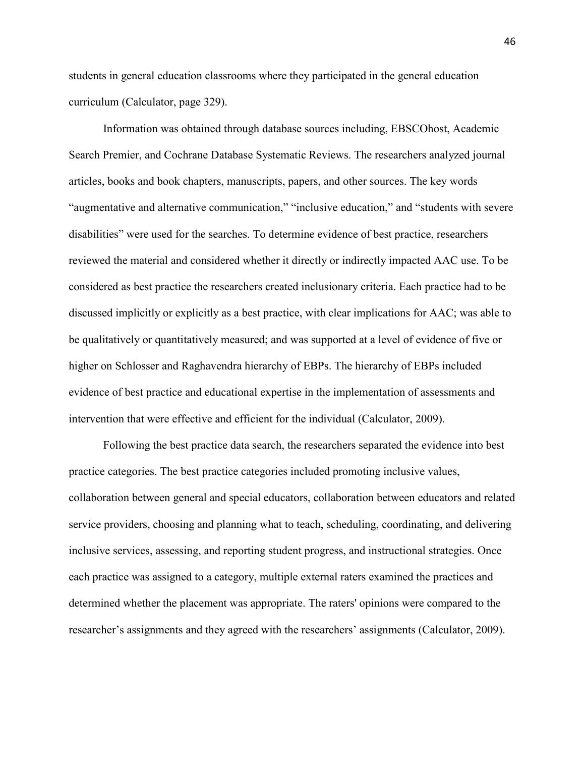students in general education classrooms where they participated in the general education curriculum (Calculator, page 329).

Information was obtained through database sources including, EBSCOhost, Academic Search Premier, and Cochrane Database Systematic Reviews. The researchers analyzed journal articles, books and book chapters, manuscripts, papers, and other sources. The key words "augmentative and alternative communication," "inclusive education," and "students with severe disabilities" were used for the searches. To determine evidence of best practice, researchers reviewed the material and considered whether it directly or indirectly impacted AAC use. To be considered as best practice the researchers created inclusionary criteria. Each practice had to be discussed implicitly or explicitly as a best practice, with clear implications for AAC; was able to be qualitatively or quantitatively measured; and was supported at a level of evidence of five or higher on Schlosser and Raghavendra hierarchy of EBPs. The hierarchy of EBPs included evidence of best practice and educational expertise in the implementation of assessments and intervention that were effective and efficient for the individual (Calculator, 2009).

Following the best practice data search, the researchers separated the evidence into best practice categories. The best practice categories included promoting inclusive values, collaboration between general and special educators, collaboration between educators and related service providers, choosing and planning what to teach, scheduling, coordinating, and delivering inclusive services, assessing, and reporting student progress, and instructional strategies. Once each practice was assigned to a category, multiple external raters examined the practices and determined whether the placement was appropriate. The raters' opinions were compared to the researcher's assignments and they agreed with the researchers' assignments (Calculator, 2009).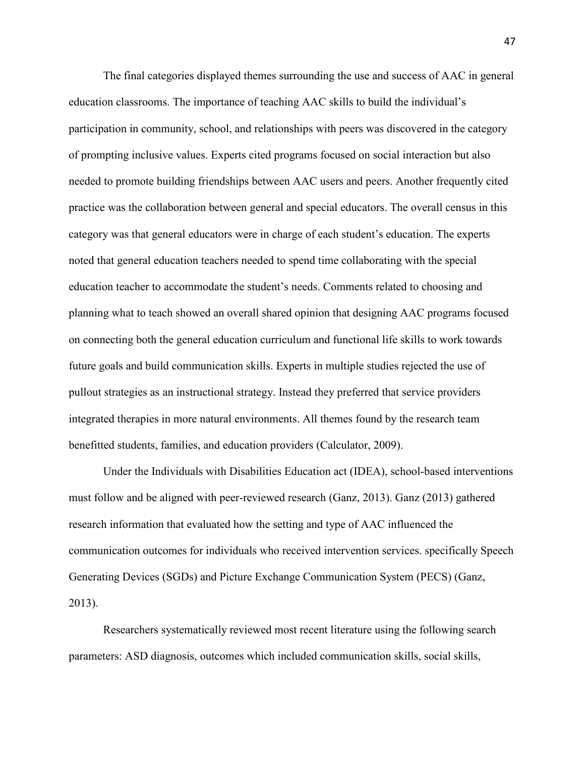The final categories displayed themes surrounding the use and success of AAC in general education classrooms. The importance of teaching AAC skills to build the individual's participation in community, school, and relationships with peers was discovered in the category of prompting inclusive values. Experts cited programs focused on social interaction but also needed to promote building friendships between AAC users and peers. Another frequently cited practice was the collaboration between general and special educators. The overall census in this category was that general educators were in charge of each student's education. The experts noted that general education teachers needed to spend time collaborating with the special education teacher to accommodate the student's needs. Comments related to choosing and planning what to teach showed an overall shared opinion that designing AAC programs focused on connecting both the general education curriculum and functional life skills to work towards future goals and build communication skills. Experts in multiple studies rejected the use of pullout strategies as an instructional strategy. Instead they preferred that service providers integrated therapies in more natural environments. All themes found by the research team benefitted students, families, and education providers (Calculator, 2009).

Under the Individuals with Disabilities Education act (IDEA), school-based interventions must follow and be aligned with peer-reviewed research (Ganz, 2013). Ganz (2013) gathered research information that evaluated how the setting and type of AAC influenced the communication outcomes for individuals who received intervention services. specifically Speech Generating Devices (SGDs) and Picture Exchange Communication System (PECS) (Ganz, 2013).

Researchers systematically reviewed most recent literature using the following search parameters: ASD diagnosis, outcomes which included communication skills, social skills,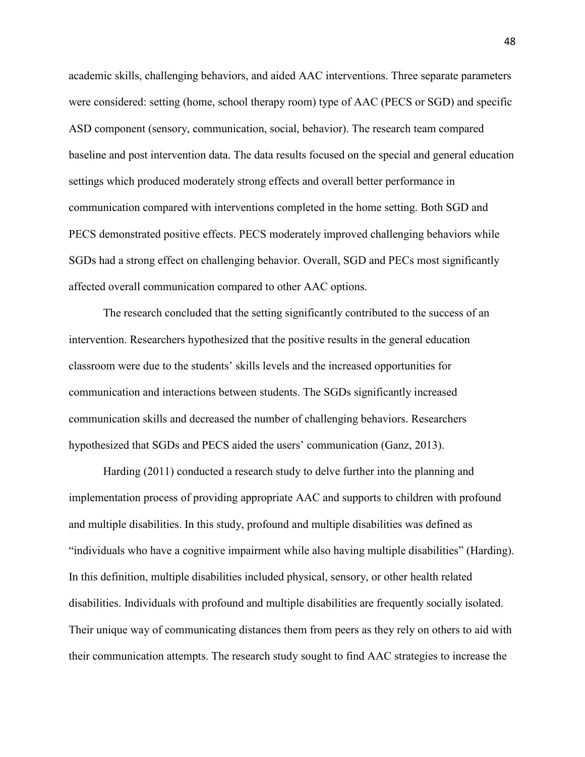academic skills, challenging behaviors, and aided AAC interventions. Three separate parameters were considered: setting (home, school therapy room) type of AAC (PECS or SGD) and specific ASD component (sensory, communication, social, behavior). The research team compared baseline and post intervention data. The data results focused on the special and general education settings which produced moderately strong effects and overall better performance in communication compared with interventions completed in the home setting. Both SGD and PECS demonstrated positive effects. PECS moderately improved challenging behaviors while SGDs had a strong effect on challenging behavior. Overall, SGD and PECs most significantly affected overall communication compared to other AAC options.

 The research concluded that the setting significantly contributed to the success of an intervention. Researchers hypothesized that the positive results in the general education classroom were due to the students' skills levels and the increased opportunities for communication and interactions between students. The SGDs significantly increased communication skills and decreased the number of challenging behaviors. Researchers hypothesized that SGDs and PECS aided the users' communication (Ganz, 2013).

Harding (2011) conducted a research study to delve further into the planning and implementation process of providing appropriate AAC and supports to children with profound and multiple disabilities. In this study, profound and multiple disabilities was defined as "individuals who have a cognitive impairment while also having multiple disabilities" (Harding). In this definition, multiple disabilities included physical, sensory, or other health related disabilities. Individuals with profound and multiple disabilities are frequently socially isolated. Their unique way of communicating distances them from peers as they rely on others to aid with their communication attempts. The research study sought to find AAC strategies to increase the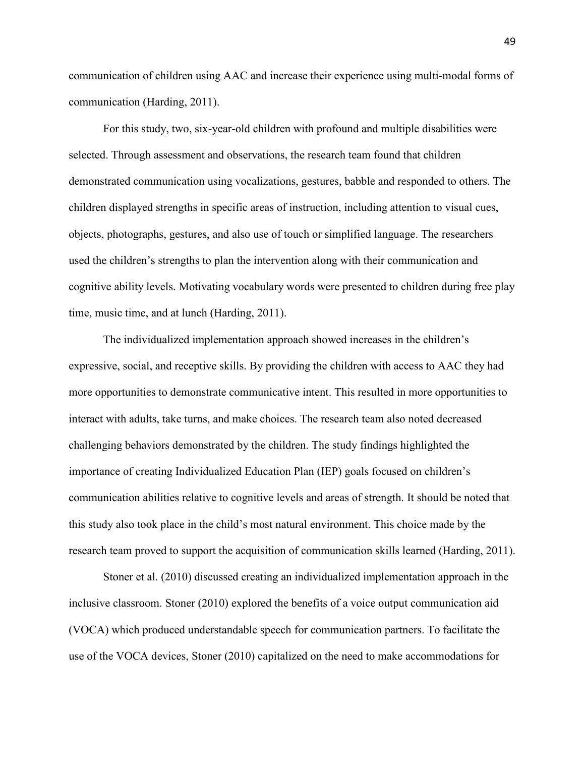communication of children using AAC and increase their experience using multi-modal forms of communication (Harding, 2011).

For this study, two, six-year-old children with profound and multiple disabilities were selected. Through assessment and observations, the research team found that children demonstrated communication using vocalizations, gestures, babble and responded to others. The children displayed strengths in specific areas of instruction, including attention to visual cues, objects, photographs, gestures, and also use of touch or simplified language. The researchers used the children's strengths to plan the intervention along with their communication and cognitive ability levels. Motivating vocabulary words were presented to children during free play time, music time, and at lunch (Harding, 2011).

The individualized implementation approach showed increases in the children's expressive, social, and receptive skills. By providing the children with access to AAC they had more opportunities to demonstrate communicative intent. This resulted in more opportunities to interact with adults, take turns, and make choices. The research team also noted decreased challenging behaviors demonstrated by the children. The study findings highlighted the importance of creating Individualized Education Plan (IEP) goals focused on children's communication abilities relative to cognitive levels and areas of strength. It should be noted that this study also took place in the child's most natural environment. This choice made by the research team proved to support the acquisition of communication skills learned (Harding, 2011).

Stoner et al. (2010) discussed creating an individualized implementation approach in the inclusive classroom. Stoner (2010) explored the benefits of a voice output communication aid (VOCA) which produced understandable speech for communication partners. To facilitate the use of the VOCA devices, Stoner (2010) capitalized on the need to make accommodations for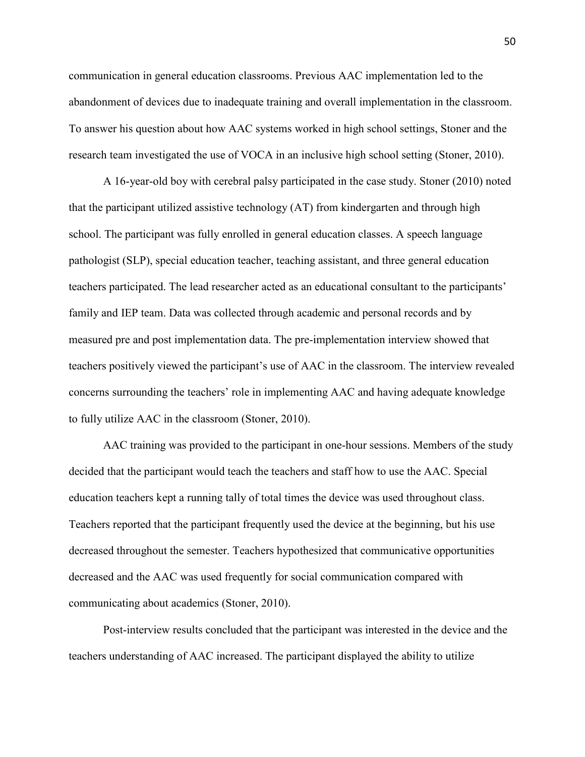communication in general education classrooms. Previous AAC implementation led to the abandonment of devices due to inadequate training and overall implementation in the classroom. To answer his question about how AAC systems worked in high school settings, Stoner and the research team investigated the use of VOCA in an inclusive high school setting (Stoner, 2010).

A 16-year-old boy with cerebral palsy participated in the case study. Stoner (2010) noted that the participant utilized assistive technology (AT) from kindergarten and through high school. The participant was fully enrolled in general education classes. A speech language pathologist (SLP), special education teacher, teaching assistant, and three general education teachers participated. The lead researcher acted as an educational consultant to the participants' family and IEP team. Data was collected through academic and personal records and by measured pre and post implementation data. The pre-implementation interview showed that teachers positively viewed the participant's use of AAC in the classroom. The interview revealed concerns surrounding the teachers' role in implementing AAC and having adequate knowledge to fully utilize AAC in the classroom (Stoner, 2010).

 AAC training was provided to the participant in one-hour sessions. Members of the study decided that the participant would teach the teachers and staff how to use the AAC. Special education teachers kept a running tally of total times the device was used throughout class. Teachers reported that the participant frequently used the device at the beginning, but his use decreased throughout the semester. Teachers hypothesized that communicative opportunities decreased and the AAC was used frequently for social communication compared with communicating about academics (Stoner, 2010).

 Post-interview results concluded that the participant was interested in the device and the teachers understanding of AAC increased. The participant displayed the ability to utilize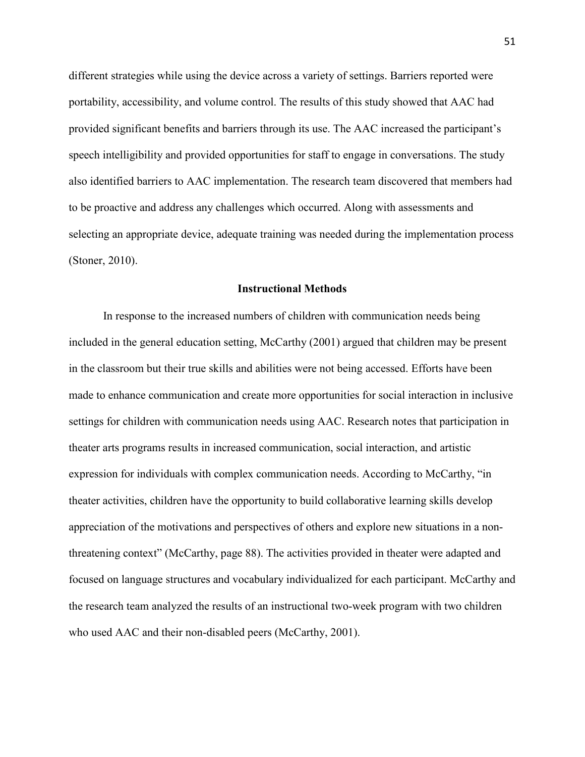different strategies while using the device across a variety of settings. Barriers reported were portability, accessibility, and volume control. The results of this study showed that AAC had provided significant benefits and barriers through its use. The AAC increased the participant's speech intelligibility and provided opportunities for staff to engage in conversations. The study also identified barriers to AAC implementation. The research team discovered that members had to be proactive and address any challenges which occurred. Along with assessments and selecting an appropriate device, adequate training was needed during the implementation process (Stoner, 2010).

### **Instructional Methods**

<span id="page-51-0"></span>In response to the increased numbers of children with communication needs being included in the general education setting, McCarthy (2001) argued that children may be present in the classroom but their true skills and abilities were not being accessed. Efforts have been made to enhance communication and create more opportunities for social interaction in inclusive settings for children with communication needs using AAC. Research notes that participation in theater arts programs results in increased communication, social interaction, and artistic expression for individuals with complex communication needs. According to McCarthy, "in theater activities, children have the opportunity to build collaborative learning skills develop appreciation of the motivations and perspectives of others and explore new situations in a nonthreatening context" (McCarthy, page 88). The activities provided in theater were adapted and focused on language structures and vocabulary individualized for each participant. McCarthy and the research team analyzed the results of an instructional two-week program with two children who used AAC and their non-disabled peers (McCarthy, 2001).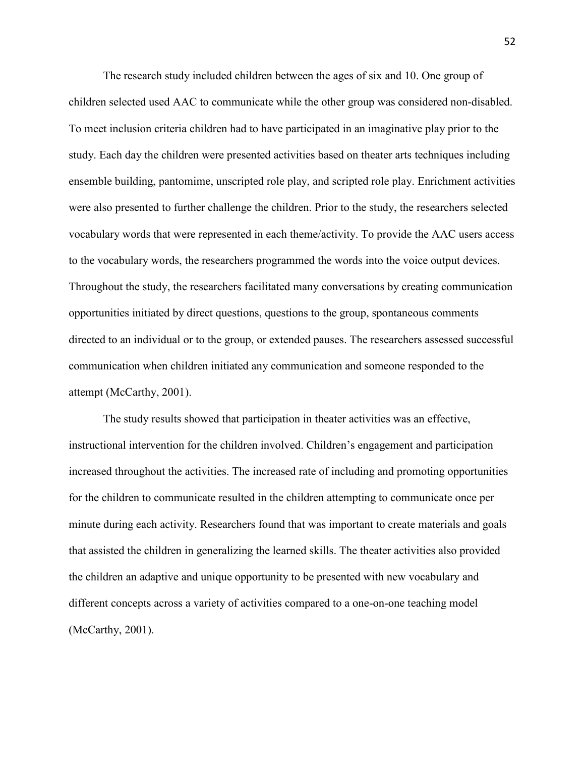The research study included children between the ages of six and 10. One group of children selected used AAC to communicate while the other group was considered non-disabled. To meet inclusion criteria children had to have participated in an imaginative play prior to the study. Each day the children were presented activities based on theater arts techniques including ensemble building, pantomime, unscripted role play, and scripted role play. Enrichment activities were also presented to further challenge the children. Prior to the study, the researchers selected vocabulary words that were represented in each theme/activity. To provide the AAC users access to the vocabulary words, the researchers programmed the words into the voice output devices. Throughout the study, the researchers facilitated many conversations by creating communication opportunities initiated by direct questions, questions to the group, spontaneous comments directed to an individual or to the group, or extended pauses. The researchers assessed successful communication when children initiated any communication and someone responded to the attempt (McCarthy, 2001).

The study results showed that participation in theater activities was an effective, instructional intervention for the children involved. Children's engagement and participation increased throughout the activities. The increased rate of including and promoting opportunities for the children to communicate resulted in the children attempting to communicate once per minute during each activity. Researchers found that was important to create materials and goals that assisted the children in generalizing the learned skills. The theater activities also provided the children an adaptive and unique opportunity to be presented with new vocabulary and different concepts across a variety of activities compared to a one-on-one teaching model (McCarthy, 2001).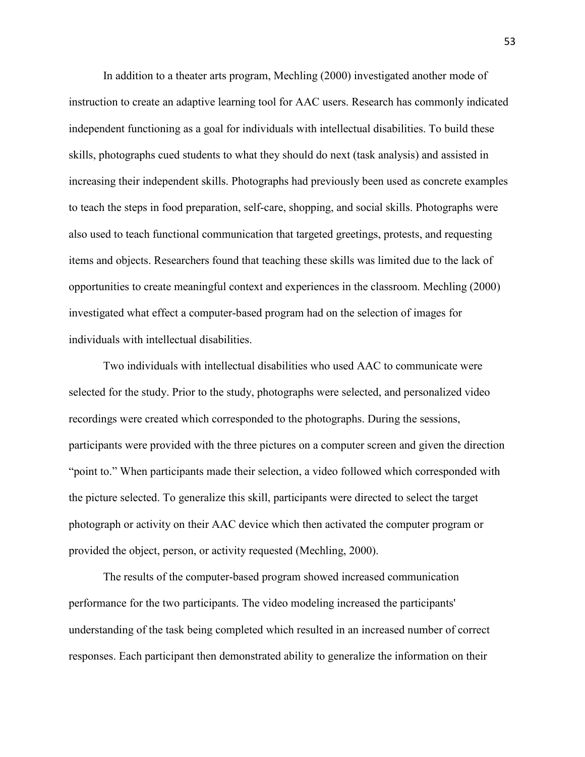In addition to a theater arts program, Mechling (2000) investigated another mode of instruction to create an adaptive learning tool for AAC users. Research has commonly indicated independent functioning as a goal for individuals with intellectual disabilities. To build these skills, photographs cued students to what they should do next (task analysis) and assisted in increasing their independent skills. Photographs had previously been used as concrete examples to teach the steps in food preparation, self-care, shopping, and social skills. Photographs were also used to teach functional communication that targeted greetings, protests, and requesting items and objects. Researchers found that teaching these skills was limited due to the lack of opportunities to create meaningful context and experiences in the classroom. Mechling (2000) investigated what effect a computer-based program had on the selection of images for individuals with intellectual disabilities.

 Two individuals with intellectual disabilities who used AAC to communicate were selected for the study. Prior to the study, photographs were selected, and personalized video recordings were created which corresponded to the photographs. During the sessions, participants were provided with the three pictures on a computer screen and given the direction "point to." When participants made their selection, a video followed which corresponded with the picture selected. To generalize this skill, participants were directed to select the target photograph or activity on their AAC device which then activated the computer program or provided the object, person, or activity requested (Mechling, 2000).

 The results of the computer-based program showed increased communication performance for the two participants. The video modeling increased the participants' understanding of the task being completed which resulted in an increased number of correct responses. Each participant then demonstrated ability to generalize the information on their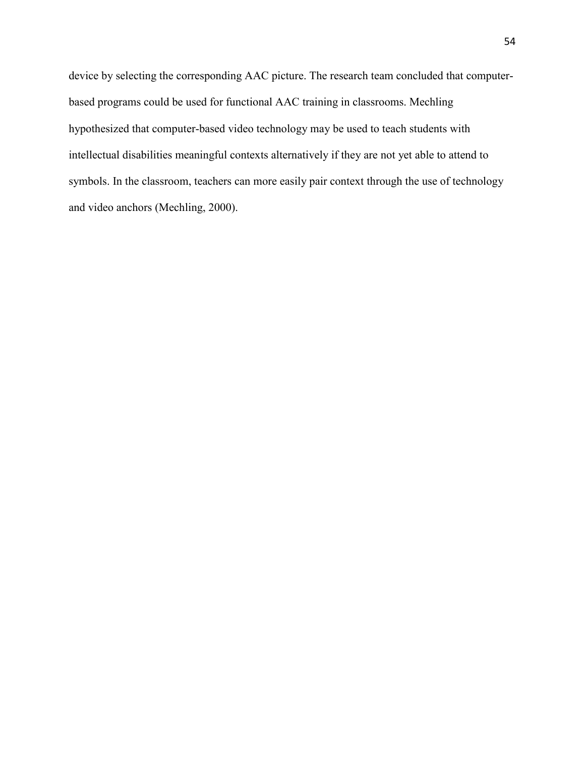device by selecting the corresponding AAC picture. The research team concluded that computerbased programs could be used for functional AAC training in classrooms. Mechling hypothesized that computer-based video technology may be used to teach students with intellectual disabilities meaningful contexts alternatively if they are not yet able to attend to symbols. In the classroom, teachers can more easily pair context through the use of technology and video anchors (Mechling, 2000).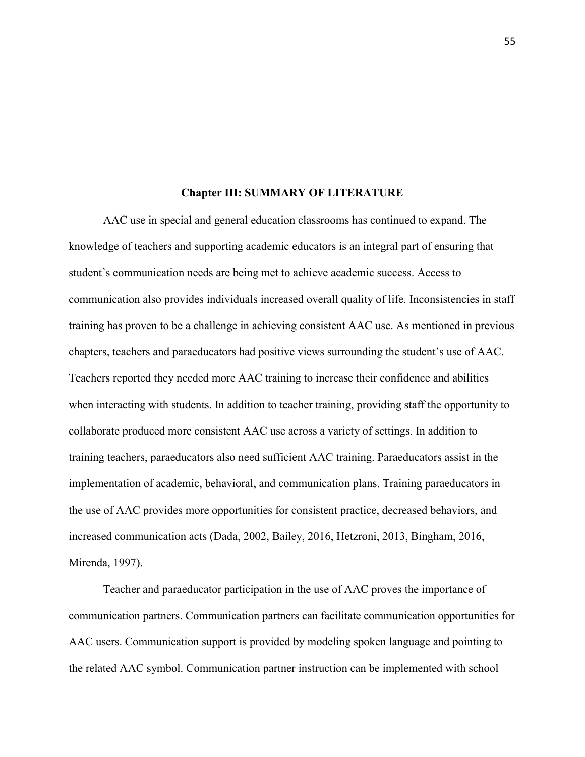#### **Chapter III: SUMMARY OF LITERATURE**

<span id="page-55-0"></span>AAC use in special and general education classrooms has continued to expand. The knowledge of teachers and supporting academic educators is an integral part of ensuring that student's communication needs are being met to achieve academic success. Access to communication also provides individuals increased overall quality of life. Inconsistencies in staff training has proven to be a challenge in achieving consistent AAC use. As mentioned in previous chapters, teachers and paraeducators had positive views surrounding the student's use of AAC. Teachers reported they needed more AAC training to increase their confidence and abilities when interacting with students. In addition to teacher training, providing staff the opportunity to collaborate produced more consistent AAC use across a variety of settings. In addition to training teachers, paraeducators also need sufficient AAC training. Paraeducators assist in the implementation of academic, behavioral, and communication plans. Training paraeducators in the use of AAC provides more opportunities for consistent practice, decreased behaviors, and increased communication acts (Dada, 2002, Bailey, 2016, Hetzroni, 2013, Bingham, 2016, Mirenda, 1997).

 Teacher and paraeducator participation in the use of AAC proves the importance of communication partners. Communication partners can facilitate communication opportunities for AAC users. Communication support is provided by modeling spoken language and pointing to the related AAC symbol. Communication partner instruction can be implemented with school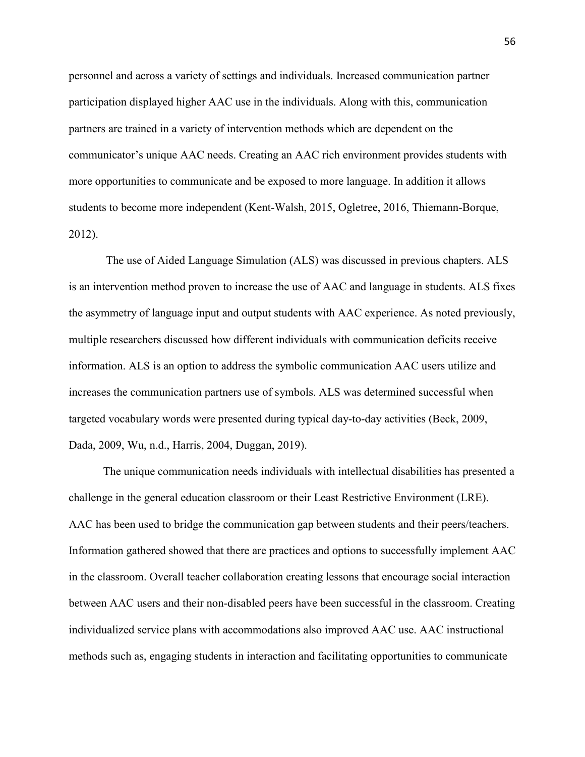personnel and across a variety of settings and individuals. Increased communication partner participation displayed higher AAC use in the individuals. Along with this, communication partners are trained in a variety of intervention methods which are dependent on the communicator's unique AAC needs. Creating an AAC rich environment provides students with more opportunities to communicate and be exposed to more language. In addition it allows students to become more independent (Kent-Walsh, 2015, Ogletree, 2016, Thiemann-Borque, 2012).

 The use of Aided Language Simulation (ALS) was discussed in previous chapters. ALS is an intervention method proven to increase the use of AAC and language in students. ALS fixes the asymmetry of language input and output students with AAC experience. As noted previously, multiple researchers discussed how different individuals with communication deficits receive information. ALS is an option to address the symbolic communication AAC users utilize and increases the communication partners use of symbols. ALS was determined successful when targeted vocabulary words were presented during typical day-to-day activities (Beck, 2009, Dada, 2009, Wu, n.d., Harris, 2004, Duggan, 2019).

 The unique communication needs individuals with intellectual disabilities has presented a challenge in the general education classroom or their Least Restrictive Environment (LRE). AAC has been used to bridge the communication gap between students and their peers/teachers. Information gathered showed that there are practices and options to successfully implement AAC in the classroom. Overall teacher collaboration creating lessons that encourage social interaction between AAC users and their non-disabled peers have been successful in the classroom. Creating individualized service plans with accommodations also improved AAC use. AAC instructional methods such as, engaging students in interaction and facilitating opportunities to communicate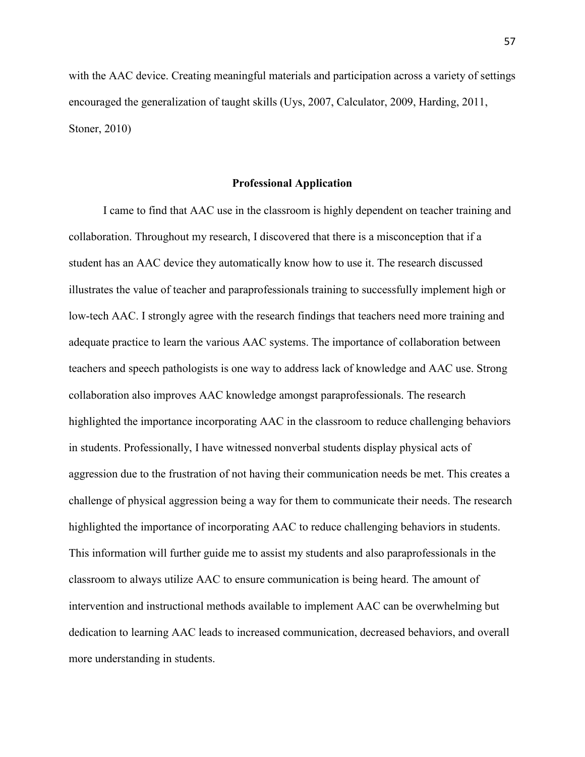with the AAC device. Creating meaningful materials and participation across a variety of settings encouraged the generalization of taught skills (Uys, 2007, Calculator, 2009, Harding, 2011, Stoner, 2010)

### **Professional Application**

<span id="page-57-0"></span> I came to find that AAC use in the classroom is highly dependent on teacher training and collaboration. Throughout my research, I discovered that there is a misconception that if a student has an AAC device they automatically know how to use it. The research discussed illustrates the value of teacher and paraprofessionals training to successfully implement high or low-tech AAC. I strongly agree with the research findings that teachers need more training and adequate practice to learn the various AAC systems. The importance of collaboration between teachers and speech pathologists is one way to address lack of knowledge and AAC use. Strong collaboration also improves AAC knowledge amongst paraprofessionals. The research highlighted the importance incorporating AAC in the classroom to reduce challenging behaviors in students. Professionally, I have witnessed nonverbal students display physical acts of aggression due to the frustration of not having their communication needs be met. This creates a challenge of physical aggression being a way for them to communicate their needs. The research highlighted the importance of incorporating AAC to reduce challenging behaviors in students. This information will further guide me to assist my students and also paraprofessionals in the classroom to always utilize AAC to ensure communication is being heard. The amount of intervention and instructional methods available to implement AAC can be overwhelming but dedication to learning AAC leads to increased communication, decreased behaviors, and overall more understanding in students.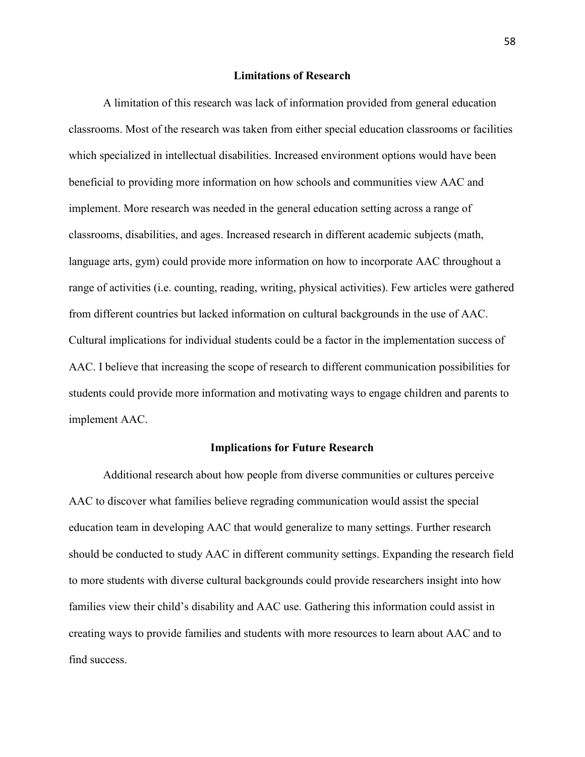### **Limitations of Research**

<span id="page-58-0"></span> A limitation of this research was lack of information provided from general education classrooms. Most of the research was taken from either special education classrooms or facilities which specialized in intellectual disabilities. Increased environment options would have been beneficial to providing more information on how schools and communities view AAC and implement. More research was needed in the general education setting across a range of classrooms, disabilities, and ages. Increased research in different academic subjects (math, language arts, gym) could provide more information on how to incorporate AAC throughout a range of activities (i.e. counting, reading, writing, physical activities). Few articles were gathered from different countries but lacked information on cultural backgrounds in the use of AAC. Cultural implications for individual students could be a factor in the implementation success of AAC. I believe that increasing the scope of research to different communication possibilities for students could provide more information and motivating ways to engage children and parents to implement AAC.

### **Implications for Future Research**

<span id="page-58-1"></span> Additional research about how people from diverse communities or cultures perceive AAC to discover what families believe regrading communication would assist the special education team in developing AAC that would generalize to many settings. Further research should be conducted to study AAC in different community settings. Expanding the research field to more students with diverse cultural backgrounds could provide researchers insight into how families view their child's disability and AAC use. Gathering this information could assist in creating ways to provide families and students with more resources to learn about AAC and to find success.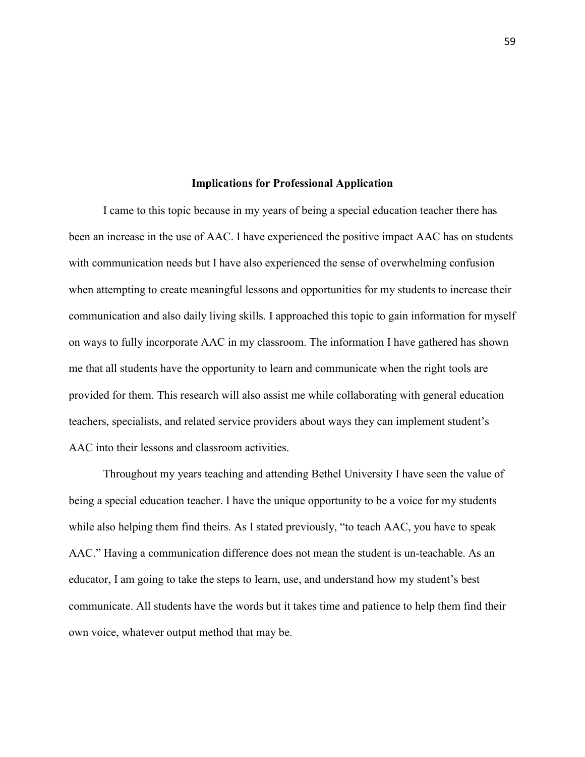### **Implications for Professional Application**

<span id="page-59-0"></span>I came to this topic because in my years of being a special education teacher there has been an increase in the use of AAC. I have experienced the positive impact AAC has on students with communication needs but I have also experienced the sense of overwhelming confusion when attempting to create meaningful lessons and opportunities for my students to increase their communication and also daily living skills. I approached this topic to gain information for myself on ways to fully incorporate AAC in my classroom. The information I have gathered has shown me that all students have the opportunity to learn and communicate when the right tools are provided for them. This research will also assist me while collaborating with general education teachers, specialists, and related service providers about ways they can implement student's AAC into their lessons and classroom activities.

 Throughout my years teaching and attending Bethel University I have seen the value of being a special education teacher. I have the unique opportunity to be a voice for my students while also helping them find theirs. As I stated previously, "to teach AAC, you have to speak AAC." Having a communication difference does not mean the student is un-teachable. As an educator, I am going to take the steps to learn, use, and understand how my student's best communicate. All students have the words but it takes time and patience to help them find their own voice, whatever output method that may be.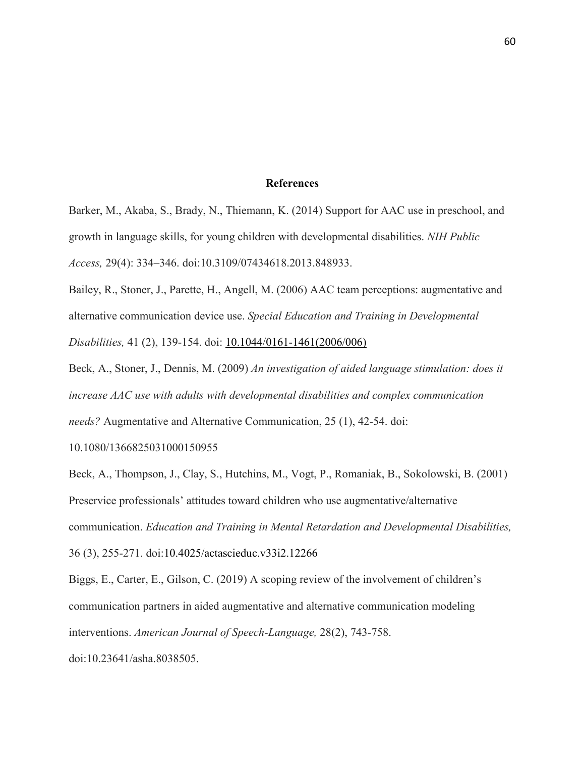### **References**

<span id="page-60-0"></span>Barker, M., Akaba, S., Brady, N., Thiemann, K. (2014) Support for AAC use in preschool, and growth in language skills, for young children with developmental disabilities. *NIH Public Access,* 29(4): 334–346. doi:10.3109/07434618.2013.848933.

Bailey, R., Stoner, J., Parette, H., Angell, M. (2006) AAC team perceptions: augmentative and alternative communication device use. *Special Education and Training in Developmental Disabilities,* 41 (2), 139-154. doi: [10.1044/0161-1461\(2006/006\)](https://doi.org/10.1044/0161-1461(2006/006))

Beck, A., Stoner, J., Dennis, M. (2009) *An investigation of aided language stimulation: does it increase AAC use with adults with developmental disabilities and complex communication needs?* Augmentative and Alternative Communication, 25 (1), 42-54. doi:

10.1080/1366825031000150955

Beck, A., Thompson, J., Clay, S., Hutchins, M., Vogt, P., Romaniak, B., Sokolowski, B. (2001) Preservice professionals' attitudes toward children who use augmentative/alternative communication. *Education and Training in Mental Retardation and Developmental Disabilities,*  36 (3), 255-271. doi:10.4025/actascieduc.v33i2.12266

Biggs, E., Carter, E., Gilson, C. (2019) A scoping review of the involvement of children's communication partners in aided augmentative and alternative communication modeling interventions. *American Journal of Speech-Language,* 28(2), 743-758.

doi:10.23641/asha.8038505.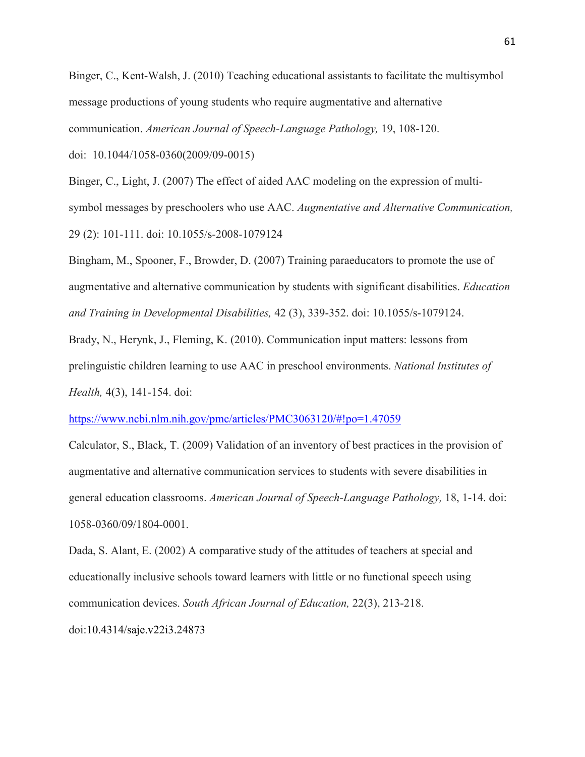Binger, C., Kent-Walsh, J. (2010) Teaching educational assistants to facilitate the multisymbol message productions of young students who require augmentative and alternative communication. *American Journal of Speech-Language Pathology,* 19, 108-120.

doi: 10.1044/1058-0360(2009/09-0015)

Binger, C., Light, J. (2007) The effect of aided AAC modeling on the expression of multisymbol messages by preschoolers who use AAC. *Augmentative and Alternative Communication,*  29 (2): 101-111. doi: 10.1055/s-2008-1079124

Bingham, M., Spooner, F., Browder, D. (2007) Training paraeducators to promote the use of augmentative and alternative communication by students with significant disabilities. *Education and Training in Developmental Disabilities,* 42 (3), 339-352. doi: 10.1055/s-1079124.

Brady, N., Herynk, J., Fleming, K. (2010). Communication input matters: lessons from prelinguistic children learning to use AAC in preschool environments. *National Institutes of Health,* 4(3), 141-154. doi:

<https://www.ncbi.nlm.nih.gov/pmc/articles/PMC3063120/#!po=1.47059>

Calculator, S., Black, T. (2009) Validation of an inventory of best practices in the provision of augmentative and alternative communication services to students with severe disabilities in general education classrooms. *American Journal of Speech-Language Pathology,* 18, 1-14. doi: 1058-0360/09/1804-0001.

Dada, S. Alant, E. (2002) A comparative study of the attitudes of teachers at special and educationally inclusive schools toward learners with little or no functional speech using communication devices. *South African Journal of Education,* 22(3), 213-218.

doi:10.4314/saje.v22i3.24873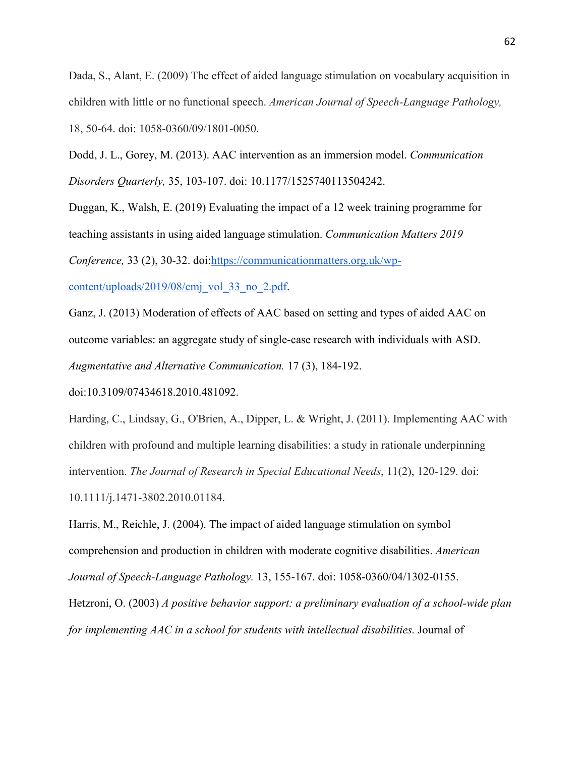Dada, S., Alant, E. (2009) The effect of aided language stimulation on vocabulary acquisition in children with little or no functional speech. *American Journal of Speech-Language Pathology,*  18, 50-64. doi: 1058-0360/09/1801-0050.

Dodd, J. L., Gorey, M. (2013). AAC intervention as an immersion model. *Communication Disorders Quarterly,* 35, 103-107. doi: 10.1177/1525740113504242.

Duggan, K., Walsh, E. (2019) Evaluating the impact of a 12 week training programme for teaching assistants in using aided language stimulation. *Communication Matters 2019 Conference,* 33 (2), 30-32. doi[:https://communicationmatters.org.uk/wp-](https://communicationmatters.org.uk/wp-content/uploads/2019/08/cmj_vol_33_no_2.pdf)

[content/uploads/2019/08/cmj\\_vol\\_33\\_no\\_2.pdf.](https://communicationmatters.org.uk/wp-content/uploads/2019/08/cmj_vol_33_no_2.pdf)

Ganz, J. (2013) Moderation of effects of AAC based on setting and types of aided AAC on outcome variables: an aggregate study of single-case research with individuals with ASD. *Augmentative and Alternative Communication.* 17 (3), 184-192.

doi:10.3109/07434618.2010.481092.

Harding, C., Lindsay, G., O'Brien, A., Dipper, L. & Wright, J. (2011). Implementing AAC with children with profound and multiple learning disabilities: a study in rationale underpinning intervention. *The Journal of Research in Special Educational Needs*, 11(2), 120-129. doi: 10.1111/j.1471-3802.2010.01184.

Harris, M., Reichle, J. (2004). The impact of aided language stimulation on symbol comprehension and production in children with moderate cognitive disabilities. *American Journal of Speech-Language Pathology.* 13, 155-167. doi: 1058-0360/04/1302-0155.

Hetzroni, O. (2003) *A positive behavior support: a preliminary evaluation of a school-wide plan for implementing AAC in a school for students with intellectual disabilities.* Journal of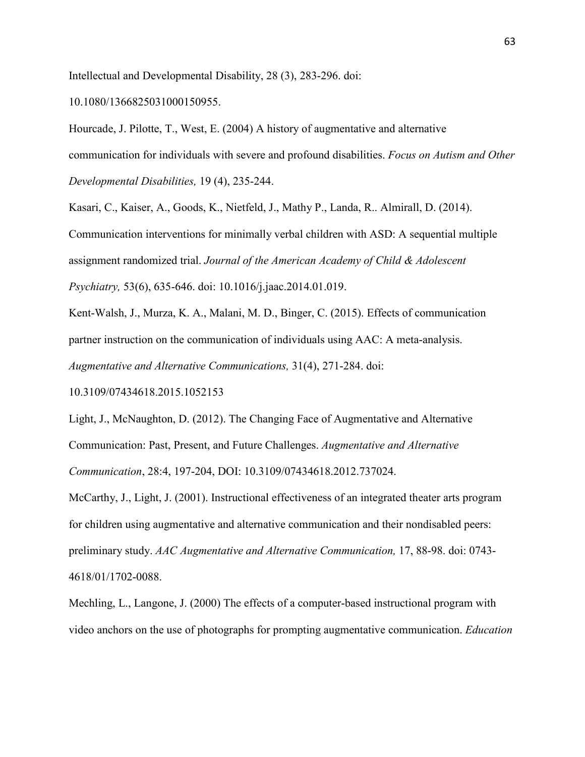Intellectual and Developmental Disability, 28 (3), 283-296. doi:

10.1080/1366825031000150955.

Hourcade, J. Pilotte, T., West, E. (2004) A history of augmentative and alternative communication for individuals with severe and profound disabilities. *Focus on Autism and Other Developmental Disabilities,* 19 (4), 235-244.

Kasari, C., Kaiser, A., Goods, K., Nietfeld, J., Mathy P., Landa, R.. Almirall, D. (2014). Communication interventions for minimally verbal children with ASD: A sequential multiple assignment randomized trial. *Journal of the American Academy of Child & Adolescent Psychiatry,* 53(6), 635-646. doi: 10.1016/j.jaac.2014.01.019.

Kent-Walsh, J., Murza, K. A., Malani, M. D., Binger, C. (2015). Effects of communication partner instruction on the communication of individuals using AAC: A meta-analysis. *Augmentative and Alternative Communications,* 31(4), 271-284. doi:

10.3109/07434618.2015.1052153

Light, J., McNaughton, D. (2012). The Changing Face of Augmentative and Alternative Communication: Past, Present, and Future Challenges. *Augmentative and Alternative Communication*, 28:4, 197-204, DOI: 10.3109/07434618.2012.737024.

McCarthy, J., Light, J. (2001). Instructional effectiveness of an integrated theater arts program for children using augmentative and alternative communication and their nondisabled peers: preliminary study. *AAC Augmentative and Alternative Communication,* 17, 88-98. doi: 0743- 4618/01/1702-0088.

Mechling, L., Langone, J. (2000) The effects of a computer-based instructional program with video anchors on the use of photographs for prompting augmentative communication. *Education*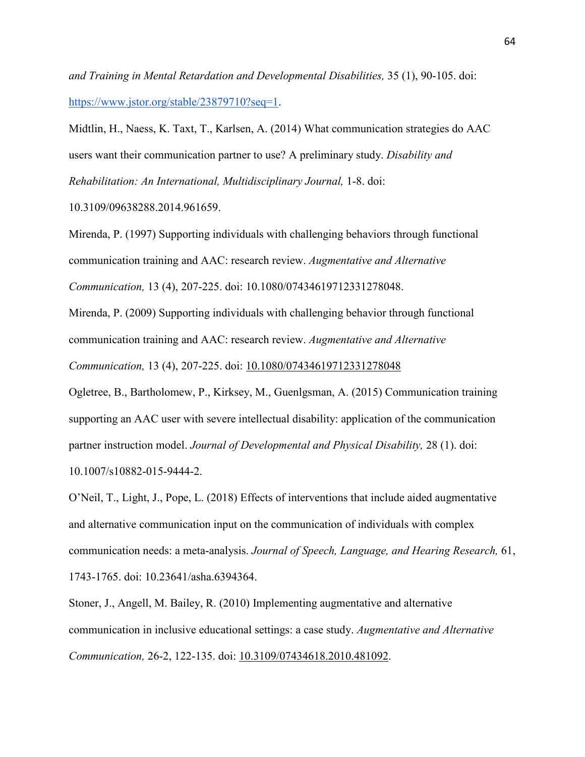*and Training in Mental Retardation and Developmental Disabilities,* 35 (1), 90-105. doi: [https://www.jstor.org/stable/23879710?seq=1.](https://www.jstor.org/stable/23879710?seq=1)

Midtlin, H., Naess, K. Taxt, T., Karlsen, A. (2014) What communication strategies do AAC users want their communication partner to use? A preliminary study. *Disability and Rehabilitation: An International, Multidisciplinary Journal,* 1-8. doi:

10.3109/09638288.2014.961659.

Mirenda, P. (1997) Supporting individuals with challenging behaviors through functional communication training and AAC: research review. *Augmentative and Alternative Communication,* 13 (4), 207-225. doi: 10.1080/07434619712331278048.

Mirenda, P. (2009) Supporting individuals with challenging behavior through functional communication training and AAC: research review. *Augmentative and Alternative* 

*Communication,* 13 (4), 207-225. doi: [10.1080/07434619712331278048](https://doi.org/10.1080/07434619712331278048)

Ogletree, B., Bartholomew, P., Kirksey, M., Guenlgsman, A. (2015) Communication training supporting an AAC user with severe intellectual disability: application of the communication partner instruction model. *Journal of Developmental and Physical Disability,* 28 (1). doi: 10.1007/s10882-015-9444-2.

O'Neil, T., Light, J., Pope, L. (2018) Effects of interventions that include aided augmentative and alternative communication input on the communication of individuals with complex communication needs: a meta-analysis. *Journal of Speech, Language, and Hearing Research,* 61, 1743-1765. doi: 10.23641/asha.6394364.

Stoner, J., Angell, M. Bailey, R. (2010) Implementing augmentative and alternative communication in inclusive educational settings: a case study. *Augmentative and Alternative Communication,* 26-2, 122-135. doi: [10.3109/07434618.2010.481092.](https://www.researchgate.net/deref/http%3A%2F%2Fdx.doi.org%2F10.3109%2F07434618.2010.481092)